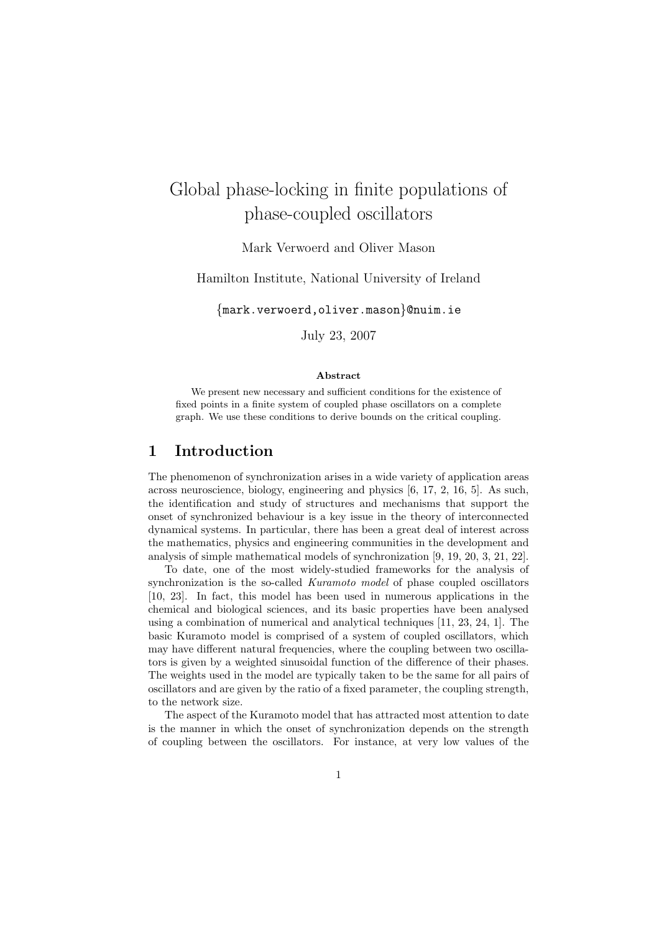# Global phase-locking in finite populations of phase-coupled oscillators

Mark Verwoerd and Oliver Mason

Hamilton Institute, National University of Ireland

{mark.verwoerd,oliver.mason}@nuim.ie

July 23, 2007

#### Abstract

We present new necessary and sufficient conditions for the existence of fixed points in a finite system of coupled phase oscillators on a complete graph. We use these conditions to derive bounds on the critical coupling.

## 1 Introduction

The phenomenon of synchronization arises in a wide variety of application areas across neuroscience, biology, engineering and physics [6, 17, 2, 16, 5]. As such, the identification and study of structures and mechanisms that support the onset of synchronized behaviour is a key issue in the theory of interconnected dynamical systems. In particular, there has been a great deal of interest across the mathematics, physics and engineering communities in the development and analysis of simple mathematical models of synchronization [9, 19, 20, 3, 21, 22].

To date, one of the most widely-studied frameworks for the analysis of synchronization is the so-called Kuramoto model of phase coupled oscillators [10, 23]. In fact, this model has been used in numerous applications in the chemical and biological sciences, and its basic properties have been analysed using a combination of numerical and analytical techniques [11, 23, 24, 1]. The basic Kuramoto model is comprised of a system of coupled oscillators, which may have different natural frequencies, where the coupling between two oscillators is given by a weighted sinusoidal function of the difference of their phases. The weights used in the model are typically taken to be the same for all pairs of oscillators and are given by the ratio of a fixed parameter, the coupling strength, to the network size.

The aspect of the Kuramoto model that has attracted most attention to date is the manner in which the onset of synchronization depends on the strength of coupling between the oscillators. For instance, at very low values of the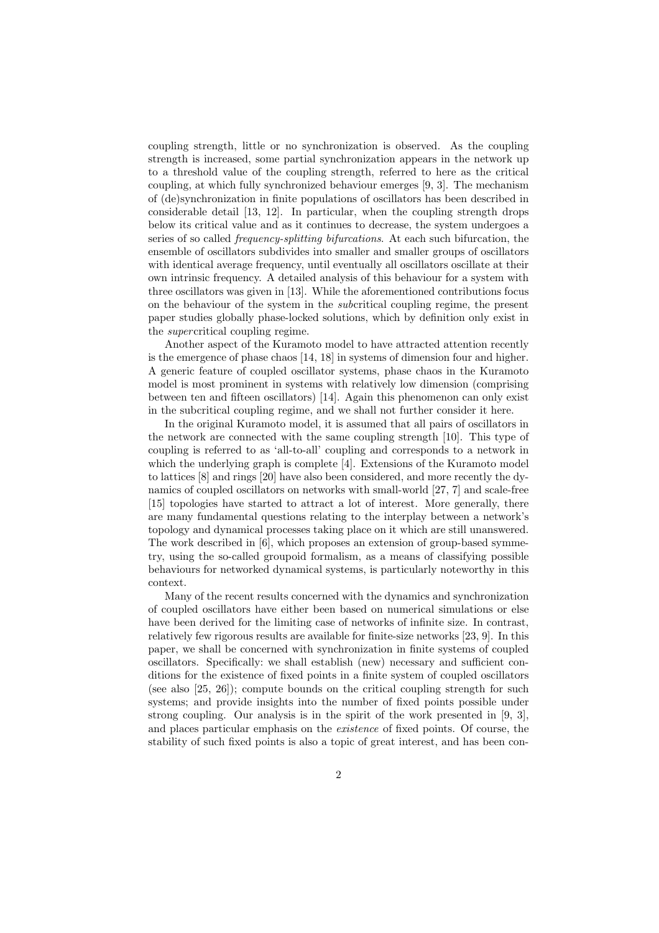coupling strength, little or no synchronization is observed. As the coupling strength is increased, some partial synchronization appears in the network up to a threshold value of the coupling strength, referred to here as the critical coupling, at which fully synchronized behaviour emerges [9, 3]. The mechanism of (de)synchronization in finite populations of oscillators has been described in considerable detail [13, 12]. In particular, when the coupling strength drops below its critical value and as it continues to decrease, the system undergoes a series of so called frequency-splitting bifurcations. At each such bifurcation, the ensemble of oscillators subdivides into smaller and smaller groups of oscillators with identical average frequency, until eventually all oscillators oscillate at their own intrinsic frequency. A detailed analysis of this behaviour for a system with three oscillators was given in [13]. While the aforementioned contributions focus on the behaviour of the system in the subcritical coupling regime, the present paper studies globally phase-locked solutions, which by definition only exist in the supercritical coupling regime.

Another aspect of the Kuramoto model to have attracted attention recently is the emergence of phase chaos [14, 18] in systems of dimension four and higher. A generic feature of coupled oscillator systems, phase chaos in the Kuramoto model is most prominent in systems with relatively low dimension (comprising between ten and fifteen oscillators) [14]. Again this phenomenon can only exist in the subcritical coupling regime, and we shall not further consider it here.

In the original Kuramoto model, it is assumed that all pairs of oscillators in the network are connected with the same coupling strength [10]. This type of coupling is referred to as 'all-to-all' coupling and corresponds to a network in which the underlying graph is complete [4]. Extensions of the Kuramoto model to lattices [8] and rings [20] have also been considered, and more recently the dynamics of coupled oscillators on networks with small-world [27, 7] and scale-free [15] topologies have started to attract a lot of interest. More generally, there are many fundamental questions relating to the interplay between a network's topology and dynamical processes taking place on it which are still unanswered. The work described in [6], which proposes an extension of group-based symmetry, using the so-called groupoid formalism, as a means of classifying possible behaviours for networked dynamical systems, is particularly noteworthy in this context.

Many of the recent results concerned with the dynamics and synchronization of coupled oscillators have either been based on numerical simulations or else have been derived for the limiting case of networks of infinite size. In contrast, relatively few rigorous results are available for finite-size networks [23, 9]. In this paper, we shall be concerned with synchronization in finite systems of coupled oscillators. Specifically: we shall establish (new) necessary and sufficient conditions for the existence of fixed points in a finite system of coupled oscillators (see also [25, 26]); compute bounds on the critical coupling strength for such systems; and provide insights into the number of fixed points possible under strong coupling. Our analysis is in the spirit of the work presented in [9, 3], and places particular emphasis on the existence of fixed points. Of course, the stability of such fixed points is also a topic of great interest, and has been con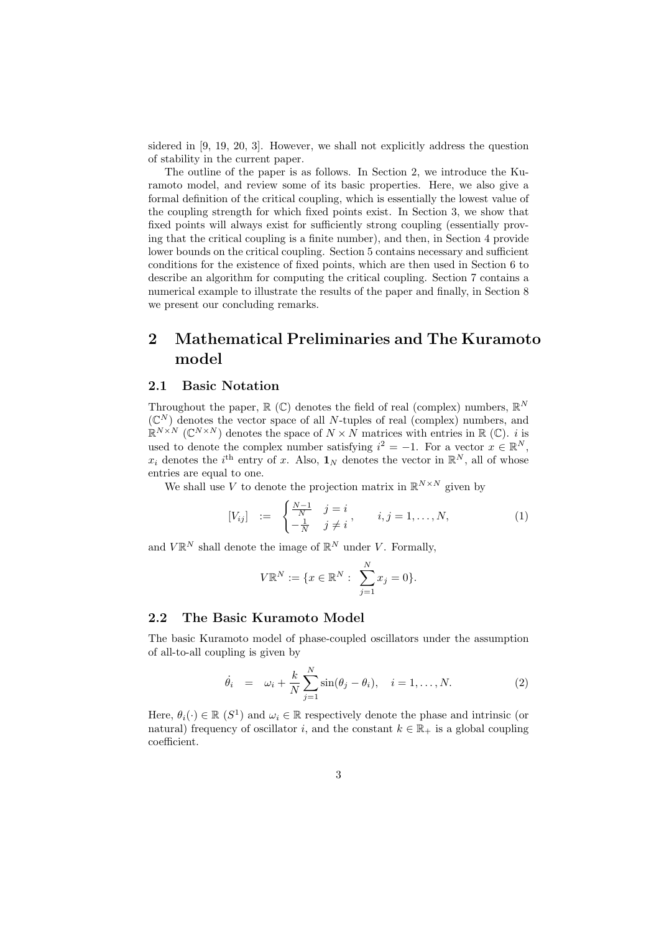sidered in [9, 19, 20, 3]. However, we shall not explicitly address the question of stability in the current paper.

The outline of the paper is as follows. In Section 2, we introduce the Kuramoto model, and review some of its basic properties. Here, we also give a formal definition of the critical coupling, which is essentially the lowest value of the coupling strength for which fixed points exist. In Section 3, we show that fixed points will always exist for sufficiently strong coupling (essentially proving that the critical coupling is a finite number), and then, in Section 4 provide lower bounds on the critical coupling. Section 5 contains necessary and sufficient conditions for the existence of fixed points, which are then used in Section 6 to describe an algorithm for computing the critical coupling. Section 7 contains a numerical example to illustrate the results of the paper and finally, in Section 8 we present our concluding remarks.

# 2 Mathematical Preliminaries and The Kuramoto model

### 2.1 Basic Notation

Throughout the paper,  $\mathbb{R}$  (C) denotes the field of real (complex) numbers,  $\mathbb{R}^N$  $(\mathbb{C}^N)$  denotes the vector space of all N-tuples of real (complex) numbers, and  $\mathbb{R}^{N \times N}$  (C<sup>N×N</sup>) denotes the space of  $N \times N$  matrices with entries in  $\mathbb{R}$  (C). *i* is used to denote the complex number satisfying  $i^2 = -1$ . For a vector  $x \in \mathbb{R}^N$ ,  $x_i$  denotes the i<sup>th</sup> entry of x. Also,  $\mathbf{1}_N$  denotes the vector in  $\mathbb{R}^N$ , all of whose entries are equal to one.

We shall use V to denote the projection matrix in  $\mathbb{R}^{N \times N}$  given by

$$
[V_{ij}] \ := \ \begin{cases} \frac{N-1}{N} & j = i \\ -\frac{1}{N} & j \neq i \end{cases}, \qquad i, j = 1, \dots, N,\tag{1}
$$

and  $V \mathbb{R}^N$  shall denote the image of  $\mathbb{R}^N$  under V. Formally,

$$
V\mathbb{R}^N := \{x \in \mathbb{R}^N : \sum_{j=1}^N x_j = 0\}.
$$

### 2.2 The Basic Kuramoto Model

The basic Kuramoto model of phase-coupled oscillators under the assumption of all-to-all coupling is given by

$$
\dot{\theta}_i = \omega_i + \frac{k}{N} \sum_{j=1}^N \sin(\theta_j - \theta_i), \quad i = 1, ..., N. \tag{2}
$$

Here,  $\theta_i(\cdot) \in \mathbb{R}$  (S<sup>1</sup>) and  $\omega_i \in \mathbb{R}$  respectively denote the phase and intrinsic (or natural) frequency of oscillator i, and the constant  $k \in \mathbb{R}_+$  is a global coupling coefficient.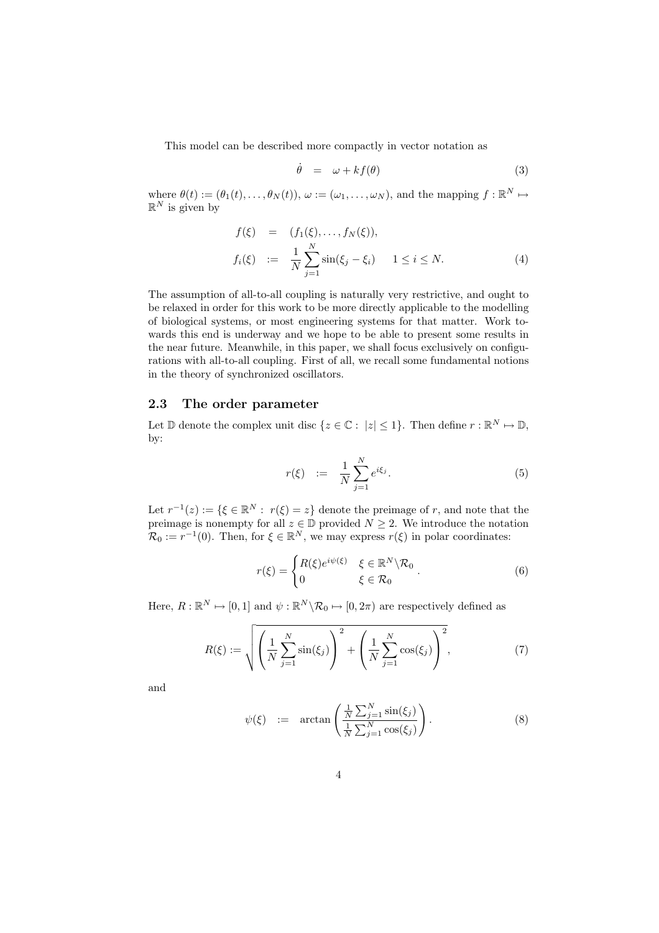This model can be described more compactly in vector notation as

$$
\dot{\theta} = \omega + kf(\theta) \tag{3}
$$

where  $\theta(t) := (\theta_1(t), \dots, \theta_N(t)), \omega := (\omega_1, \dots, \omega_N)$ , and the mapping  $f : \mathbb{R}^N \mapsto$  $\mathbb{R}^N$  is given by

$$
f(\xi) = (f_1(\xi), ..., f_N(\xi)),
$$
  
\n
$$
f_i(\xi) := \frac{1}{N} \sum_{j=1}^N \sin(\xi_j - \xi_i) \quad 1 \le i \le N.
$$
 (4)

The assumption of all-to-all coupling is naturally very restrictive, and ought to be relaxed in order for this work to be more directly applicable to the modelling of biological systems, or most engineering systems for that matter. Work towards this end is underway and we hope to be able to present some results in the near future. Meanwhile, in this paper, we shall focus exclusively on configurations with all-to-all coupling. First of all, we recall some fundamental notions in the theory of synchronized oscillators.

#### 2.3 The order parameter

Let  $\mathbb D$  denote the complex unit disc  $\{z \in \mathbb C : |z| \leq 1\}$ . Then define  $r : \mathbb R^N \mapsto \mathbb D$ , by:

$$
r(\xi) := \frac{1}{N} \sum_{j=1}^{N} e^{i\xi_j}.
$$
 (5)

Let  $r^{-1}(z) := \{ \xi \in \mathbb{R}^N : r(\xi) = z \}$  denote the preimage of r, and note that the preimage is nonempty for all  $z \in \mathbb{D}$  provided  $N \geq 2$ . We introduce the notation  $\mathcal{R}_0 := r^{-1}(0)$ . Then, for  $\xi \in \mathbb{R}^N$ , we may express  $r(\xi)$  in polar coordinates:

$$
r(\xi) = \begin{cases} R(\xi)e^{i\psi(\xi)} & \xi \in \mathbb{R}^N \setminus \mathcal{R}_0 \\ 0 & \xi \in \mathcal{R}_0 \end{cases} . \tag{6}
$$

Here,  $R : \mathbb{R}^N \mapsto [0, 1]$  and  $\psi : \mathbb{R}^N \backslash \mathcal{R}_0 \mapsto [0, 2\pi)$  are respectively defined as

$$
R(\xi) := \sqrt{\left(\frac{1}{N} \sum_{j=1}^{N} \sin(\xi_j)\right)^2 + \left(\frac{1}{N} \sum_{j=1}^{N} \cos(\xi_j)\right)^2},
$$
 (7)

and

$$
\psi(\xi) := \arctan\left(\frac{\frac{1}{N}\sum_{j=1}^{N}\sin(\xi_j)}{\frac{1}{N}\sum_{j=1}^{N}\cos(\xi_j)}\right). \tag{8}
$$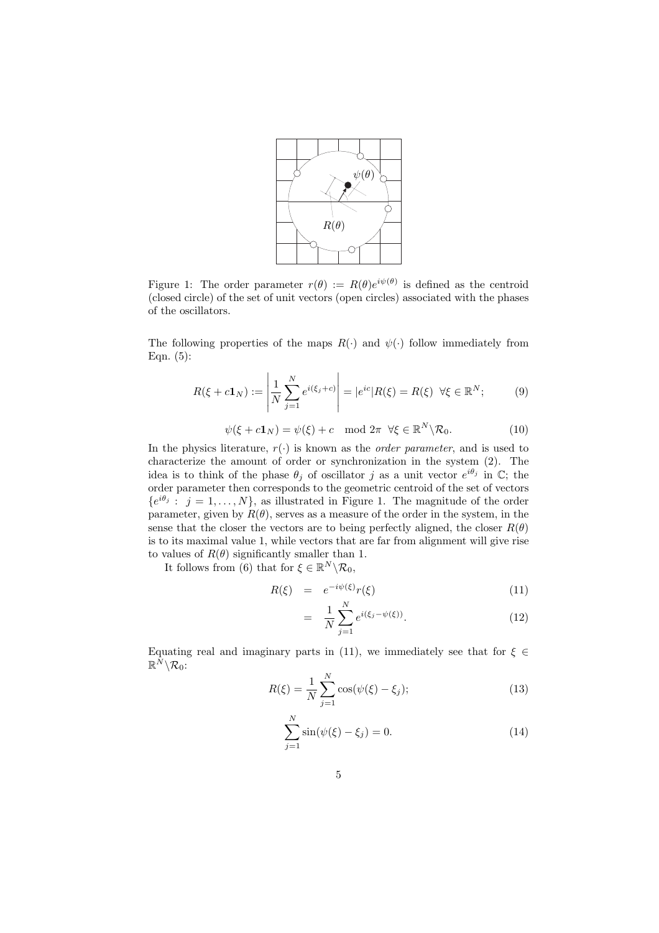

Figure 1: The order parameter  $r(\theta) := R(\theta)e^{i\psi(\theta)}$  is defined as the centroid (closed circle) of the set of unit vectors (open circles) associated with the phases of the oscillators.

The following properties of the maps  $R(\cdot)$  and  $\psi(\cdot)$  follow immediately from Eqn. (5):

$$
R(\xi + c\mathbf{1}_N) := \left| \frac{1}{N} \sum_{j=1}^N e^{i(\xi_j + c)} \right| = |e^{ic}| R(\xi) = R(\xi) \quad \forall \xi \in \mathbb{R}^N; \tag{9}
$$

$$
\psi(\xi + c\mathbf{1}_N) = \psi(\xi) + c \mod 2\pi \ \forall \xi \in \mathbb{R}^N \backslash \mathcal{R}_0. \tag{10}
$$

In the physics literature,  $r(\cdot)$  is known as the *order parameter*, and is used to characterize the amount of order or synchronization in the system (2). The idea is to think of the phase  $\theta_j$  of oscillator j as a unit vector  $e^{i\theta_j}$  in  $\mathbb{C}$ ; the order parameter then corresponds to the geometric centroid of the set of vectors  ${e^{i\theta_j} : j = 1, \ldots, N},$  as illustrated in Figure 1. The magnitude of the order parameter, given by  $R(\theta)$ , serves as a measure of the order in the system, in the sense that the closer the vectors are to being perfectly aligned, the closer  $R(\theta)$ is to its maximal value 1, while vectors that are far from alignment will give rise to values of  $R(\theta)$  significantly smaller than 1.

It follows from (6) that for  $\xi \in \mathbb{R}^N \backslash \mathcal{R}_0$ ,

$$
R(\xi) = e^{-i\psi(\xi)}r(\xi) \tag{11}
$$

$$
= \frac{1}{N} \sum_{j=1}^{N} e^{i(\xi_j - \psi(\xi))}.
$$
 (12)

Equating real and imaginary parts in (11), we immediately see that for  $\xi \in$  $\mathbb{R}^N\backslash\mathcal{R}_0$ :

$$
R(\xi) = \frac{1}{N} \sum_{j=1}^{N} \cos(\psi(\xi) - \xi_j);
$$
\n(13)

$$
\sum_{j=1}^{N} \sin(\psi(\xi) - \xi_j) = 0.
$$
 (14)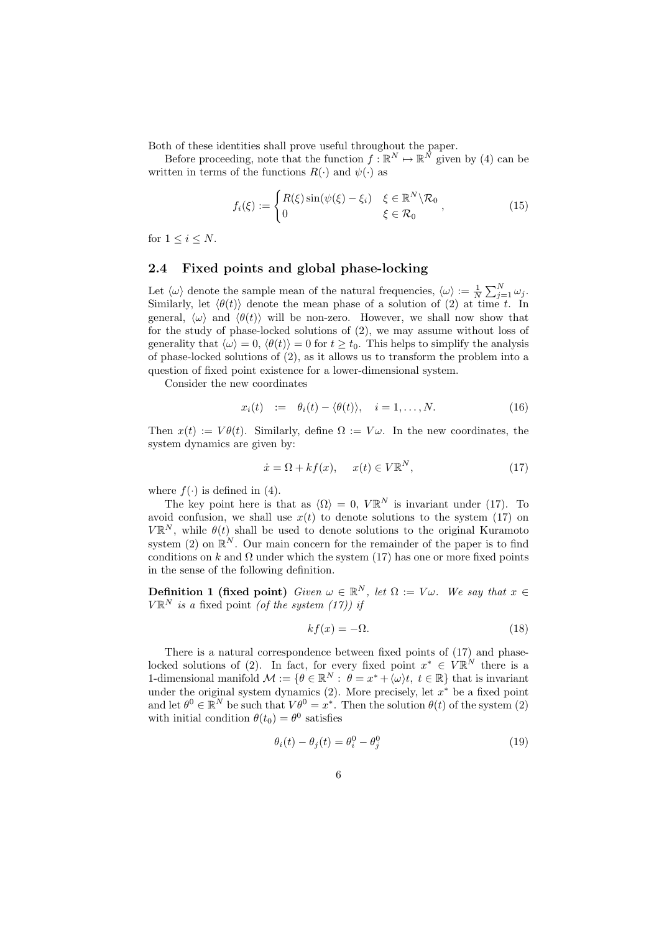Both of these identities shall prove useful throughout the paper.

Before proceeding, note that the function  $f : \mathbb{R}^N \to \mathbb{R}^N$  given by (4) can be written in terms of the functions  $R(\cdot)$  and  $\psi(\cdot)$  as

$$
f_i(\xi) := \begin{cases} R(\xi) \sin(\psi(\xi) - \xi_i) & \xi \in \mathbb{R}^N \setminus \mathcal{R}_0 \\ 0 & \xi \in \mathcal{R}_0 \end{cases},
$$
(15)

for  $1 \leq i \leq N$ .

### 2.4 Fixed points and global phase-locking

Let  $\langle \omega \rangle$  denote the sample mean of the natural frequencies,  $\langle \omega \rangle := \frac{1}{N} \sum_{j=1}^{N} \omega_j$ . Similarly, let  $\langle \theta(t) \rangle$  denote the mean phase of a solution of (2) at time t. In general,  $\langle \omega \rangle$  and  $\langle \theta(t) \rangle$  will be non-zero. However, we shall now show that for the study of phase-locked solutions of (2), we may assume without loss of generality that  $\langle \omega \rangle = 0$ ,  $\langle \theta(t) \rangle = 0$  for  $t \ge t_0$ . This helps to simplify the analysis of phase-locked solutions of (2), as it allows us to transform the problem into a question of fixed point existence for a lower-dimensional system.

Consider the new coordinates

$$
x_i(t) := \theta_i(t) - \langle \theta(t) \rangle, \quad i = 1, \dots, N. \tag{16}
$$

Then  $x(t) := V\theta(t)$ . Similarly, define  $\Omega := V\omega$ . In the new coordinates, the system dynamics are given by:

$$
\dot{x} = \Omega + kf(x), \quad x(t) \in V\mathbb{R}^N, \tag{17}
$$

where  $f(\cdot)$  is defined in (4).

The key point here is that as  $\langle \Omega \rangle = 0$ ,  $V \mathbb{R}^N$  is invariant under (17). To avoid confusion, we shall use  $x(t)$  to denote solutions to the system (17) on  $V\mathbb{R}^N$ , while  $\theta(t)$  shall be used to denote solutions to the original Kuramoto system (2) on  $\mathbb{R}^N$ . Our main concern for the remainder of the paper is to find conditions on k and  $\Omega$  under which the system (17) has one or more fixed points in the sense of the following definition.

**Definition 1 (fixed point)** Given  $\omega \in \mathbb{R}^N$ , let  $\Omega := V\omega$ . We say that  $x \in \mathbb{R}^N$  $V \mathbb{R}^N$  is a fixed point (of the system (17)) if

$$
kf(x) = -\Omega. \tag{18}
$$

There is a natural correspondence between fixed points of (17) and phaselocked solutions of (2). In fact, for every fixed point  $x^* \in V \mathbb{R}^N$  there is a 1-dimensional manifold  $\mathcal{M} := \{ \theta \in \mathbb{R}^N : \theta = x^* + \langle \omega \rangle t, t \in \mathbb{R} \}$  that is invariant under the original system dynamics  $(2)$ . More precisely, let  $x^*$  be a fixed point and let  $\theta^0 \in \mathbb{R}^N$  be such that  $V\theta^0 = x^*$ . Then the solution  $\theta(t)$  of the system (2) with initial condition  $\theta(t_0) = \theta^0$  satisfies

$$
\theta_i(t) - \theta_j(t) = \theta_i^0 - \theta_j^0 \tag{19}
$$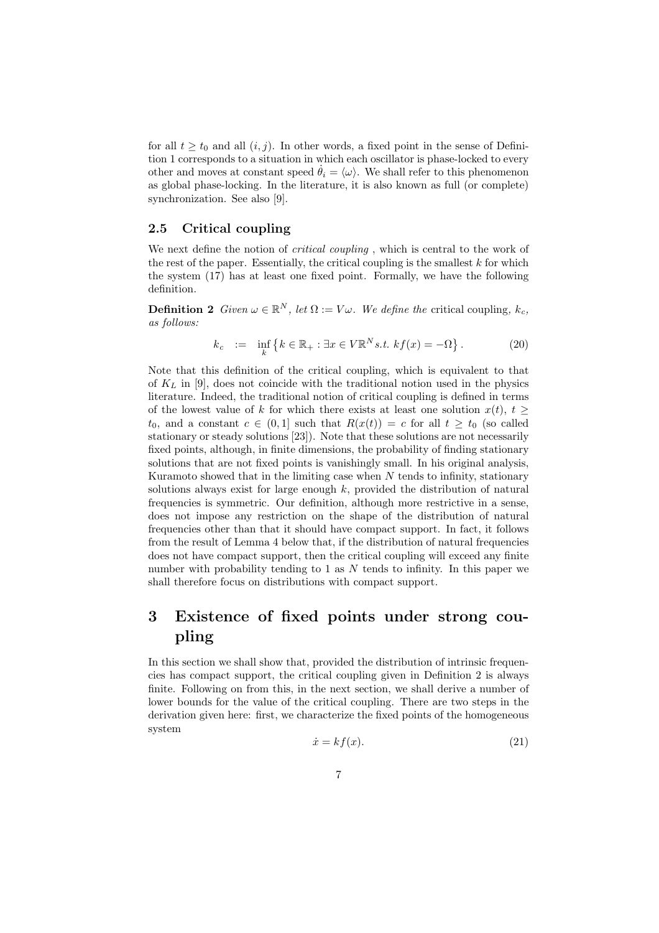for all  $t \geq t_0$  and all  $(i, j)$ . In other words, a fixed point in the sense of Definition 1 corresponds to a situation in which each oscillator is phase-locked to every other and moves at constant speed  $\theta_i = \langle \omega \rangle$ . We shall refer to this phenomenon as global phase-locking. In the literature, it is also known as full (or complete) synchronization. See also [9].

### 2.5 Critical coupling

We next define the notion of *critical coupling*, which is central to the work of the rest of the paper. Essentially, the critical coupling is the smallest  $k$  for which the system (17) has at least one fixed point. Formally, we have the following definition.

**Definition 2** Given  $\omega \in \mathbb{R}^N$ , let  $\Omega := V\omega$ . We define the critical coupling,  $k_c$ , as follows:

$$
k_c := \inf_{k} \{ k \in \mathbb{R}_+ : \exists x \in V \mathbb{R}^N s.t. \ k f(x) = -\Omega \}.
$$
 (20)

Note that this definition of the critical coupling, which is equivalent to that of  $K<sub>L</sub>$  in [9], does not coincide with the traditional notion used in the physics literature. Indeed, the traditional notion of critical coupling is defined in terms of the lowest value of k for which there exists at least one solution  $x(t)$ ,  $t >$  $t_0$ , and a constant  $c \in (0,1]$  such that  $R(x(t)) = c$  for all  $t \geq t_0$  (so called stationary or steady solutions [23]). Note that these solutions are not necessarily fixed points, although, in finite dimensions, the probability of finding stationary solutions that are not fixed points is vanishingly small. In his original analysis, Kuramoto showed that in the limiting case when  $N$  tends to infinity, stationary solutions always exist for large enough  $k$ , provided the distribution of natural frequencies is symmetric. Our definition, although more restrictive in a sense, does not impose any restriction on the shape of the distribution of natural frequencies other than that it should have compact support. In fact, it follows from the result of Lemma 4 below that, if the distribution of natural frequencies does not have compact support, then the critical coupling will exceed any finite number with probability tending to 1 as  $N$  tends to infinity. In this paper we shall therefore focus on distributions with compact support.

# 3 Existence of fixed points under strong coupling

In this section we shall show that, provided the distribution of intrinsic frequencies has compact support, the critical coupling given in Definition 2 is always finite. Following on from this, in the next section, we shall derive a number of lower bounds for the value of the critical coupling. There are two steps in the derivation given here: first, we characterize the fixed points of the homogeneous system

$$
\dot{x} = kf(x). \tag{21}
$$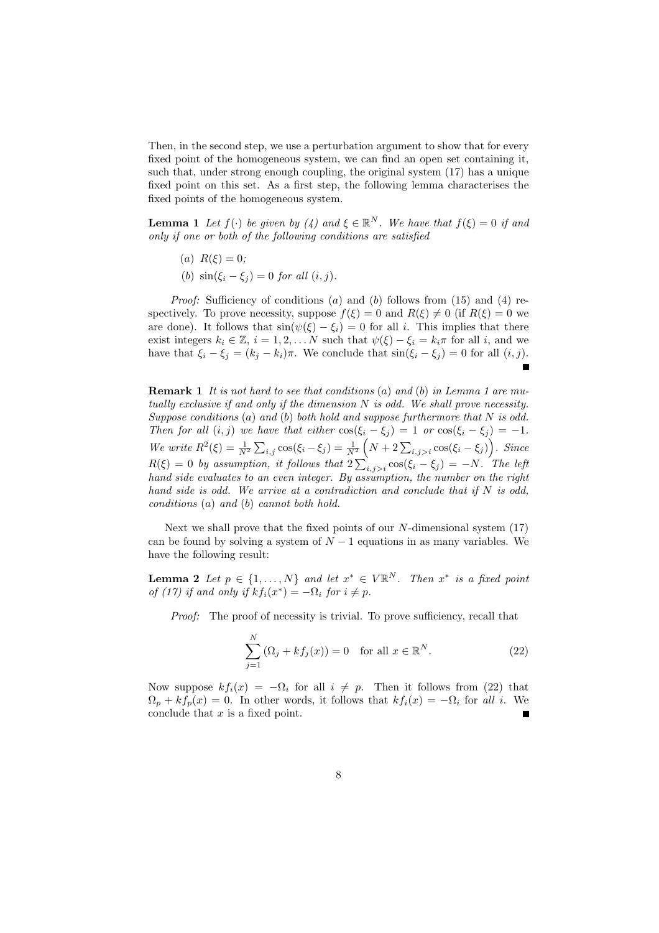Then, in the second step, we use a perturbation argument to show that for every fixed point of the homogeneous system, we can find an open set containing it, such that, under strong enough coupling, the original system (17) has a unique fixed point on this set. As a first step, the following lemma characterises the fixed points of the homogeneous system.

**Lemma 1** Let  $f(\cdot)$  be given by (4) and  $\xi \in \mathbb{R}^N$ . We have that  $f(\xi) = 0$  if and only if one or both of the following conditions are satisfied

(a)  $R(\xi) = 0$ ;

(b)  $\sin(\xi_i - \xi_j) = 0$  for all  $(i, j)$ .

*Proof:* Sufficiency of conditions  $(a)$  and  $(b)$  follows from  $(15)$  and  $(4)$  respectively. To prove necessity, suppose  $f(\xi) = 0$  and  $R(\xi) \neq 0$  (if  $R(\xi) = 0$  we are done). It follows that  $sin(\psi(\xi) - \xi_i) = 0$  for all i. This implies that there exist integers  $k_i \in \mathbb{Z}$ ,  $i = 1, 2, \ldots N$  such that  $\psi(\xi) - \xi_i = k_i \pi$  for all i, and we have that  $\xi_i - \xi_j = (k_j - k_i)\pi$ . We conclude that  $\sin(\xi_i - \xi_j) = 0$  for all  $(i, j)$ .

**Remark 1** It is not hard to see that conditions (a) and (b) in Lemma 1 are mutually exclusive if and only if the dimension  $N$  is odd. We shall prove necessity. Suppose conditions  $(a)$  and  $(b)$  both hold and suppose furthermore that N is odd. Then for all  $(i, j)$  we have that either  $\cos(\xi_i - \xi_j) = 1$  or  $\cos(\xi_i - \xi_j) = -1$ . We write  $R^2(\xi) = \frac{1}{N^2} \sum_{i,j} \cos(\xi_i - \xi_j) = \frac{1}{N^2} \left( N + 2 \sum_{i,j>i} \cos(\xi_i - \xi_j) \right)$ . Since  $R(\xi) = 0$  by assumption, it follows that  $2\sum_{i,j>i} \cos(\xi_i - \xi_j) = -N$ . The left hand side evaluates to an even integer. By assumption, the number on the right hand side is odd. We arrive at a contradiction and conclude that if  $N$  is odd, conditions (a) and (b) cannot both hold.

Next we shall prove that the fixed points of our N-dimensional system (17) can be found by solving a system of  $N-1$  equations in as many variables. We have the following result:

**Lemma 2** Let  $p \in \{1, ..., N\}$  and let  $x^* \in V\mathbb{R}^N$ . Then  $x^*$  is a fixed point of (17) if and only if  $kf_i(x^*) = -\Omega_i$  for  $i \neq p$ .

Proof: The proof of necessity is trivial. To prove sufficiency, recall that

$$
\sum_{j=1}^{N} (\Omega_j + k f_j(x)) = 0 \quad \text{for all } x \in \mathbb{R}^N.
$$
 (22)

Now suppose  $kf_i(x) = -\Omega_i$  for all  $i \neq p$ . Then it follows from (22) that  $\Omega_p + kf_p(x) = 0$ . In other words, it follows that  $kf_i(x) = -\Omega_i$  for all i. We conclude that  $x$  is a fixed point.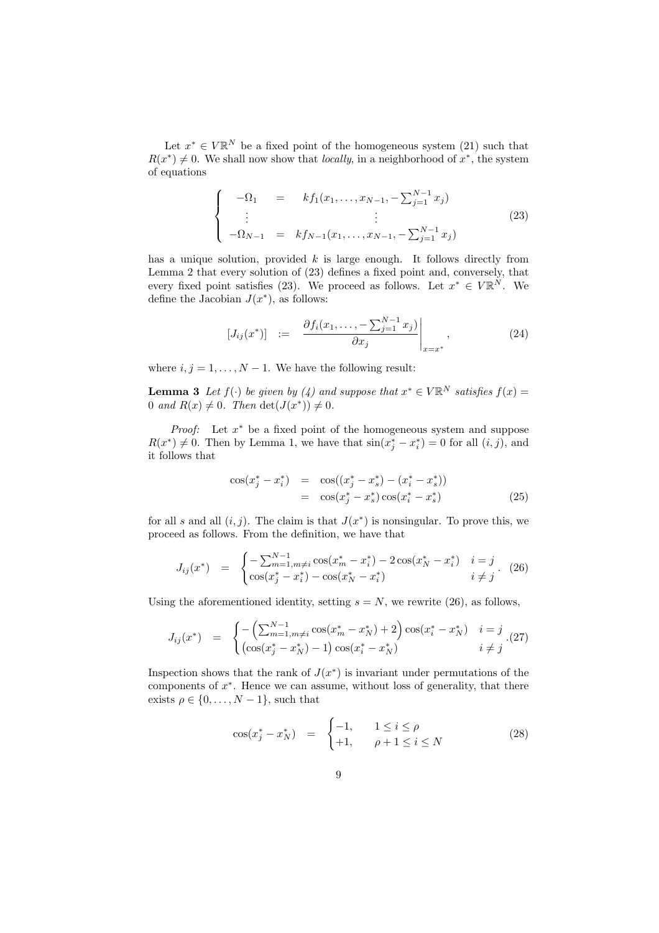Let  $x^* \in V\mathbb{R}^N$  be a fixed point of the homogeneous system (21) such that  $R(x^*) \neq 0$ . We shall now show that *locally*, in a neighborhood of  $x^*$ , the system of equations

$$
\begin{cases}\n-\Omega_1 = k f_1(x_1, \dots, x_{N-1}, -\sum_{j=1}^{N-1} x_j) \\
\vdots \\
-\Omega_{N-1} = k f_{N-1}(x_1, \dots, x_{N-1}, -\sum_{j=1}^{N-1} x_j)\n\end{cases}
$$
\n(23)

has a unique solution, provided  $k$  is large enough. It follows directly from Lemma 2 that every solution of (23) defines a fixed point and, conversely, that every fixed point satisfies (23). We proceed as follows. Let  $x^* \in V \mathbb{R}^N$ . We define the Jacobian  $J(x^*)$ , as follows:

$$
[J_{ij}(x^*)] := \frac{\partial f_i(x_1, \dots, -\sum_{j=1}^{N-1} x_j)}{\partial x_j} \Big|_{x=x^*}, \tag{24}
$$

where  $i, j = 1, \ldots, N - 1$ . We have the following result:

**Lemma 3** Let  $f(\cdot)$  be given by (4) and suppose that  $x^* \in V \mathbb{R}^N$  satisfies  $f(x) =$ 0 and  $R(x) \neq 0$ . Then  $\det(J(x^*)) \neq 0$ .

*Proof:* Let  $x^*$  be a fixed point of the homogeneous system and suppose  $R(x^*) \neq 0$ . Then by Lemma 1, we have that  $\sin(x_j^* - x_i^*) = 0$  for all  $(i, j)$ , and it follows that

$$
\cos(x_j^* - x_i^*) = \cos((x_j^* - x_s^*) - (x_i^* - x_s^*))
$$
  
= 
$$
\cos(x_j^* - x_s^*)\cos(x_i^* - x_s^*)
$$
 (25)

for all s and all  $(i, j)$ . The claim is that  $J(x^*)$  is nonsingular. To prove this, we proceed as follows. From the definition, we have that

$$
J_{ij}(x^*) = \begin{cases} -\sum_{m=1,m\neq i}^{N-1} \cos(x_m^* - x_i^*) - 2\cos(x_N^* - x_i^*) & i = j\\ \cos(x_j^* - x_i^*) - \cos(x_N^* - x_i^*) & i \neq j \end{cases} \tag{26}
$$

Using the aforementioned identity, setting  $s = N$ , we rewrite (26), as follows,

$$
J_{ij}(x^*) = \begin{cases} -\left(\sum_{m=1,m\neq i}^{N-1} \cos(x_m^* - x_N^*) + 2\right) \cos(x_i^* - x_N^*) & i = j\\ \left(\cos(x_j^* - x_N^*) - 1\right) \cos(x_i^* - x_N^*) & i \neq j \end{cases} . (27)
$$

Inspection shows that the rank of  $J(x^*)$  is invariant under permutations of the components of x ∗ . Hence we can assume, without loss of generality, that there exists  $\rho \in \{0, \ldots, N-1\}$ , such that

$$
\cos(x_j^* - x_N^*) = \begin{cases} -1, & 1 \le i \le \rho \\ +1, & \rho + 1 \le i \le N \end{cases}
$$
 (28)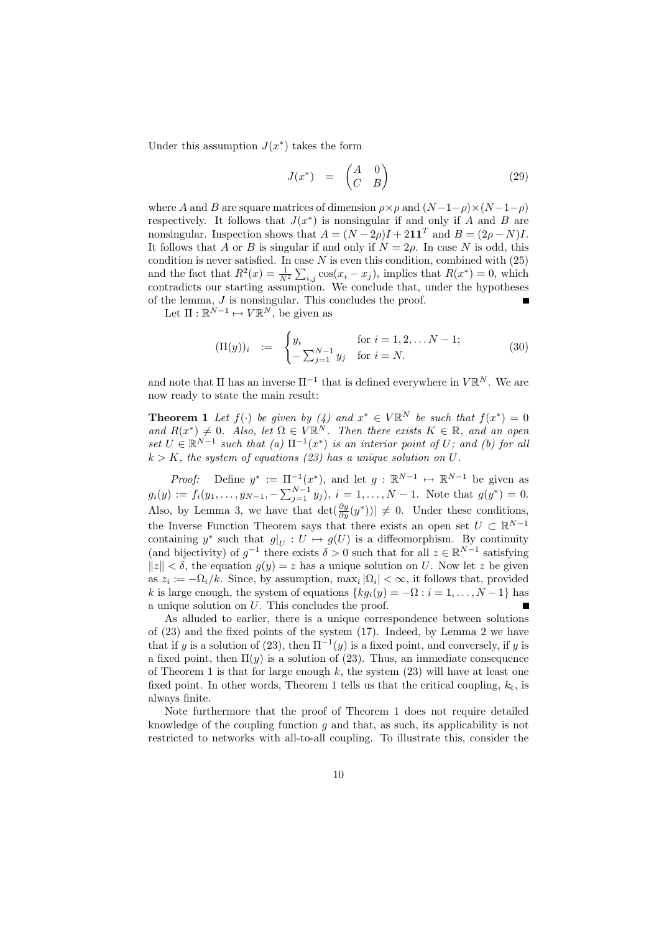Under this assumption  $J(x^*)$  takes the form

$$
J(x^*) = \begin{pmatrix} A & 0 \\ C & B \end{pmatrix} \tag{29}
$$

where A and B are square matrices of dimension  $\rho \times \rho$  and  $(N-1-\rho) \times (N-1-\rho)$ respectively. It follows that  $J(x^*)$  is nonsingular if and only if A and B are nonsingular. Inspection shows that  $A = (N - 2\rho)I + 2\mathbf{1}\mathbf{1}^T$  and  $B = (2\rho - N)I$ . It follows that A or B is singular if and only if  $N = 2\rho$ . In case N is odd, this condition is never satisfied. In case  $N$  is even this condition, combined with  $(25)$ and the fact that  $R^2(x) = \frac{1}{N^2} \sum_{i,j} \cos(x_i - x_j)$ , implies that  $R(x^*) = 0$ , which contradicts our starting assumption. We conclude that, under the hypotheses of the lemma, J is nonsingular. This concludes the proof.

Let  $\Pi : \mathbb{R}^{N-1} \mapsto V\mathbb{R}^N$ , be given as

$$
(\Pi(y))_i := \begin{cases} y_i & \text{for } i = 1, 2, \dots N - 1; \\ -\sum_{j=1}^{N-1} y_j & \text{for } i = N. \end{cases}
$$
(30)

and note that  $\Pi$  has an inverse  $\Pi^{-1}$  that is defined everywhere in  $V \mathbb{R}^N$ . We are now ready to state the main result:

**Theorem 1** Let  $f(\cdot)$  be given by  $\begin{pmatrix} 4 \end{pmatrix}$  and  $x^* \in V \mathbb{R}^N$  be such that  $f(x^*) = 0$ and  $R(x^*)\neq 0$ . Also, let  $\Omega \in V\mathbb{R}^N$ . Then there exists  $K \in \mathbb{R}$ , and an open set  $U \in \mathbb{R}^{N-1}$  such that  $(a) \Pi^{-1}(x^*)$  is an interior point of U; and  $(b)$  for all  $k > K$ , the system of equations (23) has a unique solution on U.

*Proof:* Define  $y^* := \Pi^{-1}(x^*)$ , and let  $g : \mathbb{R}^{N-1} \mapsto \mathbb{R}^{N-1}$  be given as  $g_i(y) := f_i(y_1, \ldots, y_{N-1}, -\sum_{j=1}^{N-1} y_j), i = 1, \ldots, N-1.$  Note that  $g(y^*) = 0$ . Also, by Lemma 3, we have that  $\det(\frac{\partial g}{\partial y}(y^*))| \neq 0$ . Under these conditions, the Inverse Function Theorem says that there exists an open set  $U \subset \mathbb{R}^{N-1}$ containing y<sup>\*</sup> such that  $g|_U: U \mapsto g(U)$  is a diffeomorphism. By continuity (and bijectivity) of  $g^{-1}$  there exists  $\delta > 0$  such that for all  $z \in \mathbb{R}^{N-1}$  satisfying  $||z|| < \delta$ , the equation  $g(y) = z$  has a unique solution on U. Now let z be given as  $z_i := -\Omega_i/k$ . Since, by assumption,  $\max_i |\Omega_i| < \infty$ , it follows that, provided k is large enough, the system of equations  ${kq_i(y) = -\Omega : i = 1, \ldots, N-1}$  has a unique solution on U. This concludes the proof.

As alluded to earlier, there is a unique correspondence between solutions of (23) and the fixed points of the system (17). Indeed, by Lemma 2 we have that if y is a solution of (23), then  $\Pi^{-1}(y)$  is a fixed point, and conversely, if y is a fixed point, then  $\Pi(y)$  is a solution of (23). Thus, an immediate consequence of Theorem 1 is that for large enough  $k$ , the system  $(23)$  will have at least one fixed point. In other words, Theorem 1 tells us that the critical coupling,  $k_c$ , is always finite.

Note furthermore that the proof of Theorem 1 does not require detailed knowledge of the coupling function  $q$  and that, as such, its applicability is not restricted to networks with all-to-all coupling. To illustrate this, consider the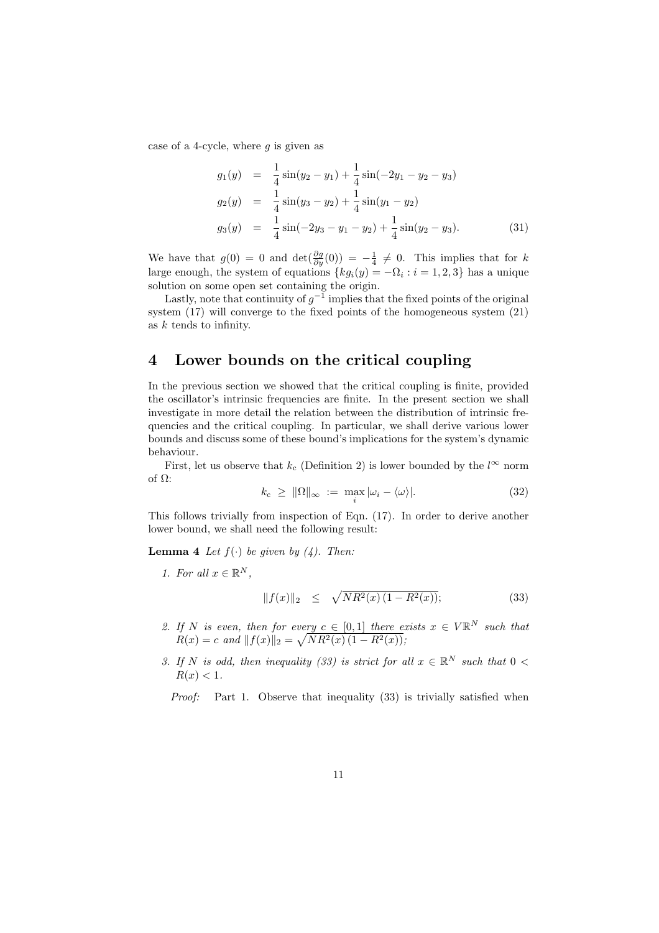case of a 4-cycle, where  $g$  is given as

$$
g_1(y) = \frac{1}{4}\sin(y_2 - y_1) + \frac{1}{4}\sin(-2y_1 - y_2 - y_3)
$$
  
\n
$$
g_2(y) = \frac{1}{4}\sin(y_3 - y_2) + \frac{1}{4}\sin(y_1 - y_2)
$$
  
\n
$$
g_3(y) = \frac{1}{4}\sin(-2y_3 - y_1 - y_2) + \frac{1}{4}\sin(y_2 - y_3).
$$
\n(31)

We have that  $g(0) = 0$  and  $\det(\frac{\partial g}{\partial y}(0)) = -\frac{1}{4} \neq 0$ . This implies that for k large enough, the system of equations  $\{kg_i(y) = -\Omega_i : i = 1, 2, 3\}$  has a unique solution on some open set containing the origin.

Lastly, note that continuity of  $g^{-1}$  implies that the fixed points of the original system (17) will converge to the fixed points of the homogeneous system (21) as k tends to infinity.

# 4 Lower bounds on the critical coupling

In the previous section we showed that the critical coupling is finite, provided the oscillator's intrinsic frequencies are finite. In the present section we shall investigate in more detail the relation between the distribution of intrinsic frequencies and the critical coupling. In particular, we shall derive various lower bounds and discuss some of these bound's implications for the system's dynamic behaviour.

First, let us observe that  $k_c$  (Definition 2) is lower bounded by the  $l^{\infty}$  norm of Ω:

$$
k_{\rm c} \geq \|\Omega\|_{\infty} := \max_{i} |\omega_i - \langle \omega \rangle|.
$$
 (32)

This follows trivially from inspection of Eqn. (17). In order to derive another lower bound, we shall need the following result:

**Lemma 4** Let  $f(\cdot)$  be given by (4). Then:

1. For all  $x \in \mathbb{R}^N$ ,

$$
||f(x)||_2 \leq \sqrt{NR^2(x)(1 - R^2(x))}; \tag{33}
$$

- 2. If N is even, then for every  $c \in [0,1]$  there exists  $x \in V\mathbb{R}^N$  such that  $R(x) = c$  and  $|| f(x)||_2 = \sqrt{NR^2(x) (1 - R^2(x))};$
- 3. If N is odd, then inequality (33) is strict for all  $x \in \mathbb{R}^N$  such that  $0 <$  $R(x) < 1$ .

Proof: Part 1. Observe that inequality (33) is trivially satisfied when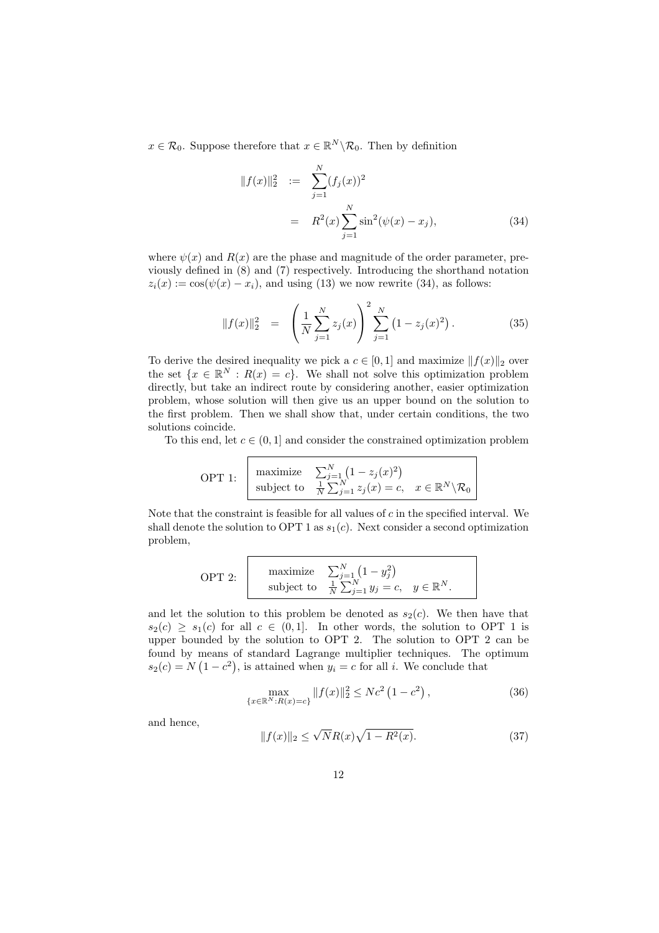$x \in \mathcal{R}_0$ . Suppose therefore that  $x \in \mathbb{R}^N \backslash \mathcal{R}_0$ . Then by definition

$$
||f(x)||_2^2 := \sum_{j=1}^N (f_j(x))^2
$$
  
=  $R^2(x) \sum_{j=1}^N \sin^2(\psi(x) - x_j),$  (34)

where  $\psi(x)$  and  $R(x)$  are the phase and magnitude of the order parameter, previously defined in (8) and (7) respectively. Introducing the shorthand notation  $z_i(x) := \cos(\psi(x) - x_i)$ , and using (13) we now rewrite (34), as follows:

$$
||f(x)||_2^2 = \left(\frac{1}{N}\sum_{j=1}^N z_j(x)\right)^2 \sum_{j=1}^N \left(1 - z_j(x)^2\right). \tag{35}
$$

To derive the desired inequality we pick a  $c \in [0, 1]$  and maximize  $|| f(x)||_2$  over the set  $\{x \in \mathbb{R}^N : R(x) = c\}$ . We shall not solve this optimization problem directly, but take an indirect route by considering another, easier optimization problem, whose solution will then give us an upper bound on the solution to the first problem. Then we shall show that, under certain conditions, the two solutions coincide.

To this end, let  $c \in (0,1]$  and consider the constrained optimization problem

OPT 1: 
$$
\begin{array}{c}\n\text{maximize} & \sum_{j=1}^{N} (1 - z_j(x)^2) \\
\text{subject to} & \frac{1}{N} \sum_{j=1}^{N} z_j(x) = c, \quad x \in \mathbb{R}^N \setminus \mathcal{R}_0\n\end{array}
$$

Note that the constraint is feasible for all values of  $c$  in the specified interval. We shall denote the solution to OPT 1 as  $s_1(c)$ . Next consider a second optimization problem,

OPT 2:

\n
$$
\begin{array}{c}\n\text{maximize} & \sum_{j=1}^{N} \left(1 - y_j^2\right) \\
\text{subject to} & \frac{1}{N} \sum_{j=1}^{N} y_j = c, \quad y \in \mathbb{R}^N.\n\end{array}
$$

and let the solution to this problem be denoted as  $s_2(c)$ . We then have that  $s_2(c) \geq s_1(c)$  for all  $c \in (0,1]$ . In other words, the solution to OPT 1 is upper bounded by the solution to OPT 2. The solution to OPT 2 can be found by means of standard Lagrange multiplier techniques. The optimum  $s_2(c) = N(1 - c^2)$ , is attained when  $y_i = c$  for all i. We conclude that

$$
\max_{\{x \in \mathbb{R}^N : R(x) = c\}} \|f(x)\|_2^2 \le Nc^2 \left(1 - c^2\right),\tag{36}
$$

and hence,

$$
||f(x)||_2 \le \sqrt{N}R(x)\sqrt{1 - R^2(x)}.
$$
 (37)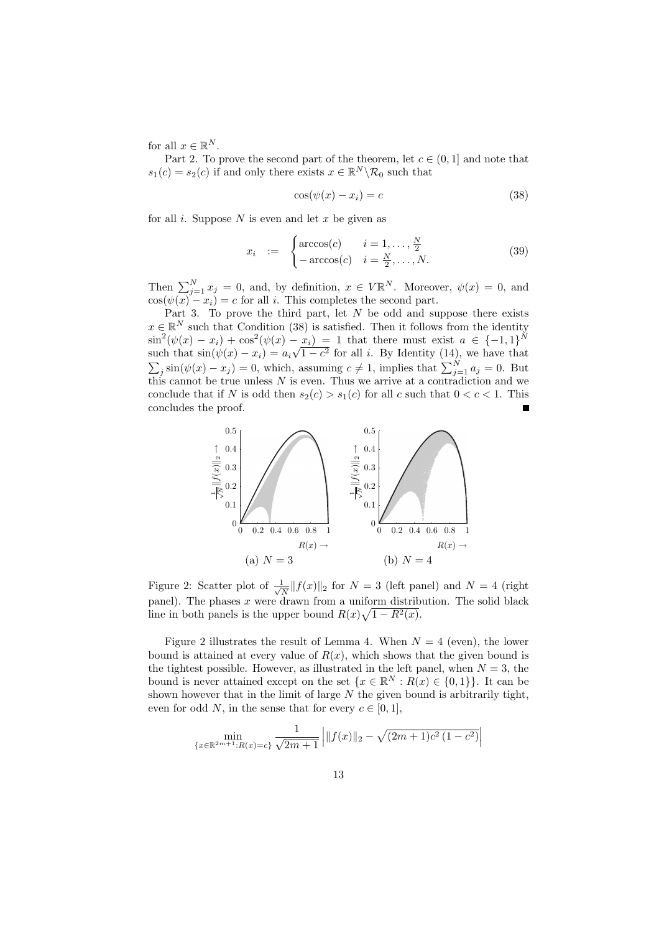for all  $x \in \mathbb{R}^N$ .

Part 2. To prove the second part of the theorem, let  $c \in (0,1]$  and note that  $s_1(c) = s_2(c)$  if and only there exists  $x \in \mathbb{R}^N \backslash \mathcal{R}_0$  such that

$$
\cos(\psi(x) - x_i) = c \tag{38}
$$

for all i. Suppose  $N$  is even and let  $x$  be given as

$$
x_i := \begin{cases} \arccos(c) & i = 1, \dots, \frac{N}{2} \\ -\arccos(c) & i = \frac{N}{2}, \dots, N. \end{cases}
$$
(39)

Then  $\sum_{j=1}^{N} x_j = 0$ , and, by definition,  $x \in V \mathbb{R}^N$ . Moreover,  $\psi(x) = 0$ , and  $cos(\psi(x) - x_i) = c$  for all *i*. This completes the second part.

Part 3. To prove the third part, let  $N$  be odd and suppose there exists  $x \in \mathbb{R}^N$  such that Condition (38) is satisfied. Then it follows from the identity  $\sin^2(\psi(x) - x_i) + \cos^2(\psi(x) - x_i) = 1$  that there must exist  $a \in \{-1, 1\}^N$ such that  $\sin(\psi(x) - x_i) = a_i \sqrt{1 - c^2}$  for all i. By Identity (14), we have that  $\sum_j \sin(\psi(x) - x_j) = 0$ , which, assuming  $c \neq 1$ , implies that  $\sum_{j=1}^N a_j = 0$ . But this cannot be true unless  $N$  is even. Thus we arrive at a contradiction and we conclude that if N is odd then  $s_2(c) > s_1(c)$  for all c such that  $0 < c < 1$ . This concludes the proof.



Figure 2: Scatter plot of  $\frac{1}{\sqrt{2}}$  $\frac{1}{N}||f(x)||_2$  for  $N = 3$  (left panel) and  $N = 4$  (right panel). The phases x were drawn from a uniform distribution. The solid black line in both panels is the upper bound  $R(x)\sqrt{1-R^2(x)}$ .

Figure 2 illustrates the result of Lemma 4. When  $N = 4$  (even), the lower bound is attained at every value of  $R(x)$ , which shows that the given bound is the tightest possible. However, as illustrated in the left panel, when  $N = 3$ , the bound is never attained except on the set  $\{x \in \mathbb{R}^N : R(x) \in \{0,1\}\}\.$  It can be shown however that in the limit of large  $N$  the given bound is arbitrarily tight, even for odd N, in the sense that for every  $c \in [0, 1]$ ,

$$
\min_{\{x \in \mathbb{R}^{2m+1}: R(x) = c\}} \frac{1}{\sqrt{2m+1}} \left| \|f(x)\|_2 - \sqrt{(2m+1)c^2(1-c^2)} \right|
$$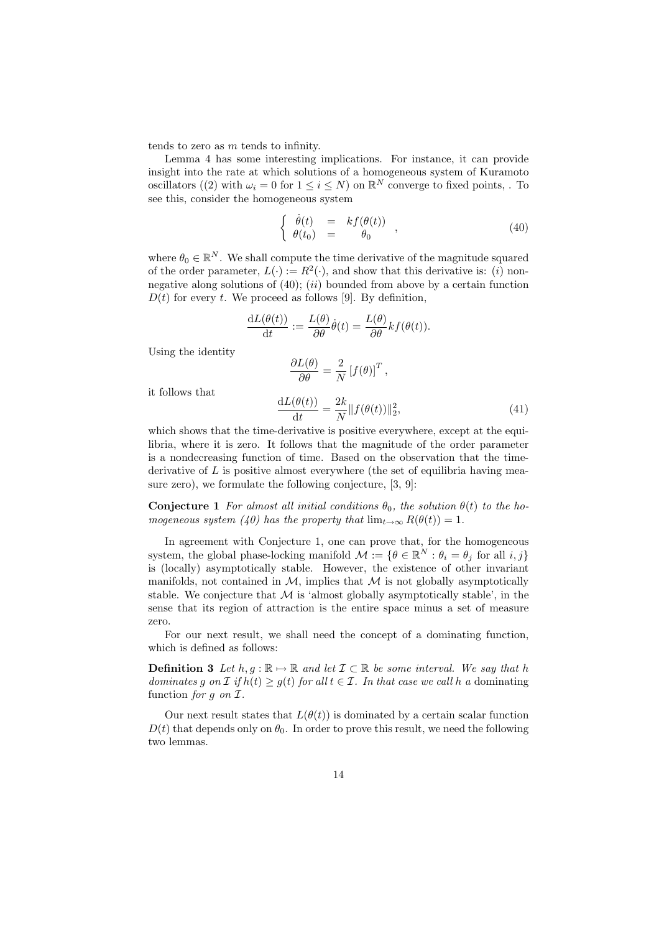tends to zero as m tends to infinity.

Lemma 4 has some interesting implications. For instance, it can provide insight into the rate at which solutions of a homogeneous system of Kuramoto oscillators ((2) with  $\omega_i = 0$  for  $1 \leq i \leq N$ ) on  $\mathbb{R}^N$  converge to fixed points, . To see this, consider the homogeneous system

$$
\begin{cases}\n\dot{\theta}(t) = kf(\theta(t)) \\
\theta(t_0) = \theta_0\n\end{cases},
$$
\n(40)

where  $\theta_0 \in \mathbb{R}^N$ . We shall compute the time derivative of the magnitude squared of the order parameter,  $L(\cdot) := R^2(\cdot)$ , and show that this derivative is: (*i*) nonnegative along solutions of  $(40)$ ;  $(ii)$  bounded from above by a certain function  $D(t)$  for every t. We proceed as follows [9]. By definition,

$$
\frac{\mathrm{d}L(\theta(t))}{\mathrm{d}t} := \frac{L(\theta)}{\partial \theta} \dot{\theta}(t) = \frac{L(\theta)}{\partial \theta} kf(\theta(t)).
$$

Using the identity

$$
\frac{\partial L(\theta)}{\partial \theta} = \frac{2}{N} [f(\theta)]^T,
$$

it follows that

$$
\frac{\mathrm{d}L(\theta(t))}{\mathrm{d}t} = \frac{2k}{N} ||f(\theta(t))||_2^2,\tag{41}
$$

which shows that the time-derivative is positive everywhere, except at the equilibria, where it is zero. It follows that the magnitude of the order parameter is a nondecreasing function of time. Based on the observation that the timederivative of  $L$  is positive almost everywhere (the set of equilibria having measure zero), we formulate the following conjecture, [3, 9]:

**Conjecture 1** For almost all initial conditions  $\theta_0$ , the solution  $\theta(t)$  to the homogeneous system (40) has the property that  $\lim_{t\to\infty} R(\theta(t)) = 1$ .

In agreement with Conjecture 1, one can prove that, for the homogeneous system, the global phase-locking manifold  $\mathcal{M} := \{ \theta \in \mathbb{R}^N : \theta_i = \theta_j \text{ for all } i, j \}$ is (locally) asymptotically stable. However, the existence of other invariant manifolds, not contained in  $M$ , implies that  $M$  is not globally asymptotically stable. We conjecture that  $M$  is 'almost globally asymptotically stable', in the sense that its region of attraction is the entire space minus a set of measure zero.

For our next result, we shall need the concept of a dominating function, which is defined as follows:

**Definition 3** Let  $h, g : \mathbb{R} \to \mathbb{R}$  and let  $\mathcal{I} \subset \mathbb{R}$  be some interval. We say that h dominates g on  $\mathcal I$  if  $h(t) \ge g(t)$  for all  $t \in \mathcal I$ . In that case we call h a dominating function for g on  $\mathcal{I}.$ 

Our next result states that  $L(\theta(t))$  is dominated by a certain scalar function  $D(t)$  that depends only on  $\theta_0$ . In order to prove this result, we need the following two lemmas.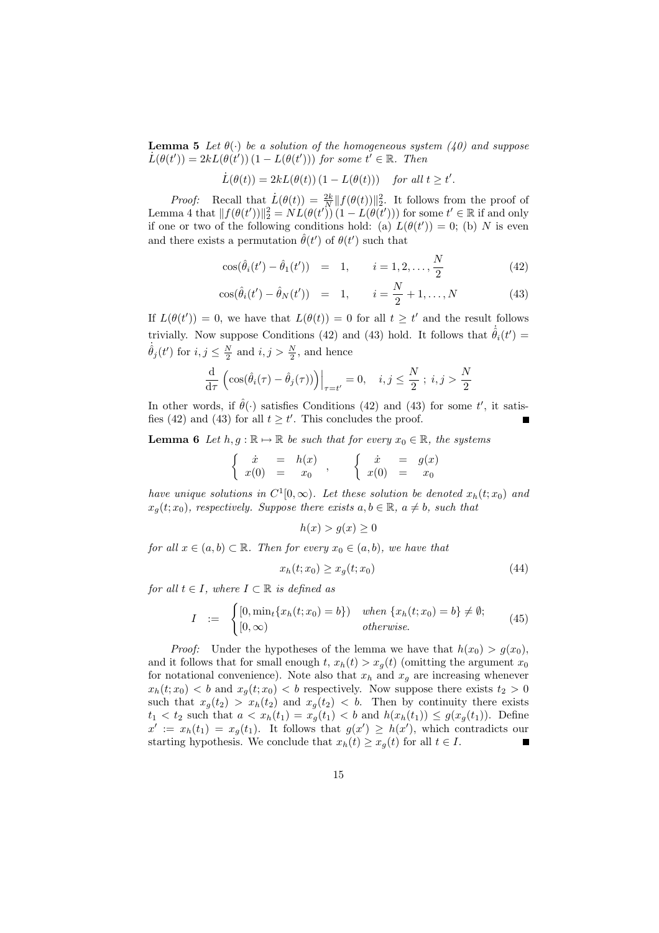**Lemma 5** Let  $\theta(\cdot)$  be a solution of the homogeneous system (40) and suppose  $\dot{L}(\theta(t')) = 2kL(\theta(t')) (1 - L(\theta(t')))$  for some  $t' \in \mathbb{R}$ . Then

$$
\dot{L}(\theta(t)) = 2kL(\theta(t)) (1 - L(\theta(t))) \quad \text{for all } t \ge t'.
$$

*Proof:* Recall that  $\dot{L}(\theta(t)) = \frac{2k}{N} ||f(\theta(t))||_2^2$ . It follows from the proof of Lemma 4 that  $|| f(\theta(t'))||_2^2 = NL(\theta(t')) (1 - L(\theta(t')))$  for some  $t' \in \mathbb{R}$  if and only if one or two of the following conditions hold: (a)  $L(\theta(t')) = 0$ ; (b) N is even and there exists a permutation  $\hat{\theta}(t')$  of  $\theta(t')$  such that

$$
\cos(\hat{\theta}_i(t') - \hat{\theta}_1(t')) = 1, \qquad i = 1, 2, \dots, \frac{N}{2}
$$
 (42)

$$
\cos(\hat{\theta}_i(t') - \hat{\theta}_N(t')) = 1, \qquad i = \frac{N}{2} + 1, ..., N
$$
 (43)

If  $L(\theta(t')) = 0$ , we have that  $L(\theta(t)) = 0$  for all  $t \geq t'$  and the result follows trivially. Now suppose Conditions (42) and (43) hold. It follows that  $\dot{\hat{\theta}}_i(t') =$  $\dot{\hat{\theta}}_j(t')$  for  $i, j \leq \frac{N}{2}$  and  $i, j > \frac{N}{2}$ , and hence

$$
\frac{\mathrm{d}}{\mathrm{d}\tau}\left(\cos(\hat{\theta}_i(\tau)-\hat{\theta}_j(\tau))\right)\Big|_{\tau=t'}=0,\quad i,j\leq\frac{N}{2}\; ; \; i,j>\frac{N}{2}
$$

In other words, if  $\hat{\theta}(\cdot)$  satisfies Conditions (42) and (43) for some t', it satisfies (42) and (43) for all  $t \geq t'$ . This concludes the proof.

**Lemma 6** Let  $h, g : \mathbb{R} \to \mathbb{R}$  be such that for every  $x_0 \in \mathbb{R}$ , the systems

$$
\begin{cases}\n\dot{x} = h(x) \\
x(0) = x_0\n\end{cases}, \n\begin{cases}\n\dot{x} = g(x) \\
x(0) = x_0\n\end{cases}
$$

have unique solutions in  $C^1[0,\infty)$ . Let these solution be denoted  $x_h(t; x_0)$  and  $x_q(t; x_0)$ , respectively. Suppose there exists  $a, b \in \mathbb{R}$ ,  $a \neq b$ , such that

$$
h(x) > g(x) \ge 0
$$

for all  $x \in (a, b) \subset \mathbb{R}$ . Then for every  $x_0 \in (a, b)$ , we have that

$$
x_h(t; x_0) \ge x_g(t; x_0) \tag{44}
$$

for all  $t \in I$ , where  $I \subset \mathbb{R}$  is defined as

$$
I := \begin{cases} [0, \min_t \{x_h(t; x_0) = b\}) & when \{x_h(t; x_0) = b\} \neq \emptyset; \\ [0, \infty) & otherwise. \end{cases}
$$
(45)

*Proof:* Under the hypotheses of the lemma we have that  $h(x_0) > q(x_0)$ , and it follows that for small enough t,  $x_h(t) > x_g(t)$  (omitting the argument  $x_0$ for notational convenience). Note also that  $x_h$  and  $x_g$  are increasing whenever  $x_h(t; x_0) < b$  and  $x_g(t; x_0) < b$  respectively. Now suppose there exists  $t_2 > 0$ such that  $x_g(t_2) > x_h(t_2)$  and  $x_g(t_2) < b$ . Then by continuity there exists  $t_1 < t_2$  such that  $a < x_h(t_1) = x_g(t_1) < b$  and  $h(x_h(t_1)) \leq g(x_g(t_1))$ . Define  $x' := x_h(t_1) = x_g(t_1)$ . It follows that  $g(x') \geq h(x')$ , which contradicts our starting hypothesis. We conclude that  $x_h(t) \geq x_g(t)$  for all  $t \in I$ .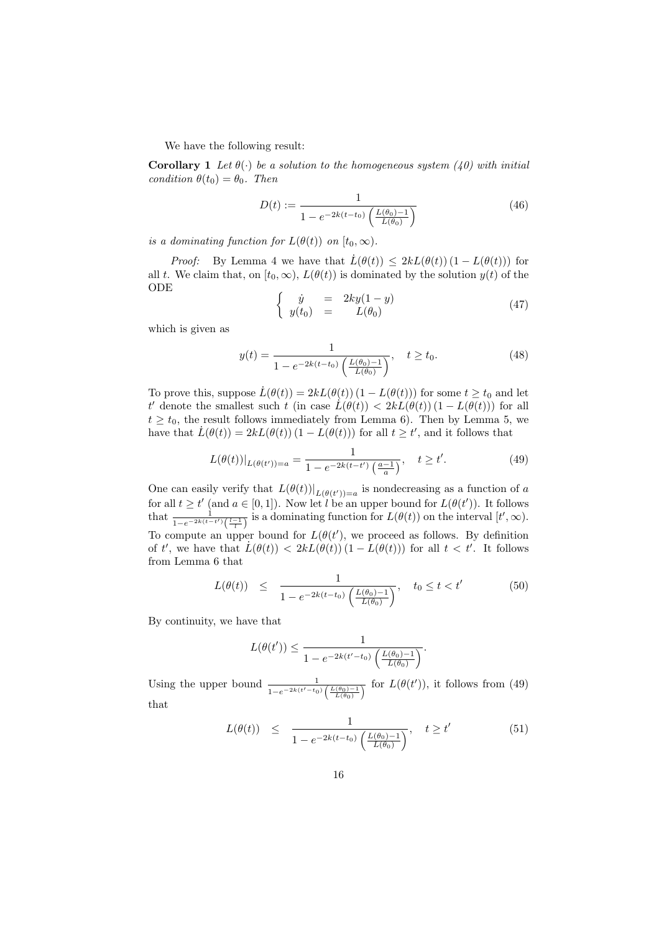We have the following result:

**Corollary 1** Let  $\theta(\cdot)$  be a solution to the homogeneous system (40) with initial condition  $\theta(t_0) = \theta_0$ . Then

$$
D(t) := \frac{1}{1 - e^{-2k(t - t_0)} \left(\frac{L(\theta_0) - 1}{L(\theta_0)}\right)}
$$
(46)

is a dominating function for  $L(\theta(t))$  on  $[t_0,\infty)$ .

*Proof:* By Lemma 4 we have that  $\dot{L}(\theta(t)) \leq 2kL(\theta(t))(1 - L(\theta(t)))$  for all t. We claim that, on  $[t_0, \infty)$ ,  $L(\theta(t))$  is dominated by the solution  $y(t)$  of the ODE

$$
\begin{cases}\n\dot{y} = 2ky(1-y) \\
y(t_0) = L(\theta_0)\n\end{cases} \tag{47}
$$

which is given as

$$
y(t) = \frac{1}{1 - e^{-2k(t - t_0)} \left(\frac{L(\theta_0) - 1}{L(\theta_0)}\right)}, \quad t \ge t_0.
$$
 (48)

To prove this, suppose  $\dot{L}(\theta(t)) = 2kL(\theta(t)) (1 - L(\theta(t)))$  for some  $t \geq t_0$  and let t' denote the smallest such t (in case  $\dot{L}(\theta(t)) < 2kL(\theta(t))(1 - L(\theta(t)))$  for all  $t \geq t_0$ , the result follows immediately from Lemma 6). Then by Lemma 5, we have that  $\dot{L}(\theta(t)) = 2kL(\theta(t)) (1 - L(\theta(t)))$  for all  $t \geq t'$ , and it follows that

$$
L(\theta(t))|_{L(\theta(t'))=a} = \frac{1}{1 - e^{-2k(t-t')} \left(\frac{a-1}{a}\right)}, \quad t \ge t'.
$$
 (49)

One can easily verify that  $L(\theta(t))|_{L(\theta(t'))=a}$  is nondecreasing as a function of a for all  $t \geq t'$  (and  $a \in [0,1]$ ). Now let l be an upper bound for  $L(\theta(t'))$ . It follows that  $\frac{1}{1-e^{-2k(t-t')}(\frac{l-1}{l})}$  is a dominating function for  $L(\theta(t))$  on the interval  $[t',\infty)$ . To compute an upper bound for  $L(\theta(t'))$ , we proceed as follows. By definition of t', we have that  $\dot{L}(\theta(t)) < 2kL(\theta(t)) (1 - L(\theta(t)))$  for all  $t < t'$ . It follows from Lemma 6 that

$$
L(\theta(t)) \leq \frac{1}{1 - e^{-2k(t - t_0)} \left(\frac{L(\theta_0) - 1}{L(\theta_0)}\right)}, \quad t_0 \leq t < t' \tag{50}
$$

By continuity, we have that

$$
L(\theta(t')) \leq \frac{1}{1 - e^{-2k(t'-t_0)} \left(\frac{L(\theta_0) - 1}{L(\theta_0)}\right)}.
$$

Using the upper bound  $\frac{1}{1-e^{-2k(t'-t_0)}\left(\frac{L(\theta_0)-1}{L(\theta_0)}\right)}$  for  $L(\theta(t'))$ , it follows from (49) that

$$
L(\theta(t)) \leq \frac{1}{1 - e^{-2k(t - t_0)} \left(\frac{L(\theta_0) - 1}{L(\theta_0)}\right)}, \quad t \geq t'
$$
 (51)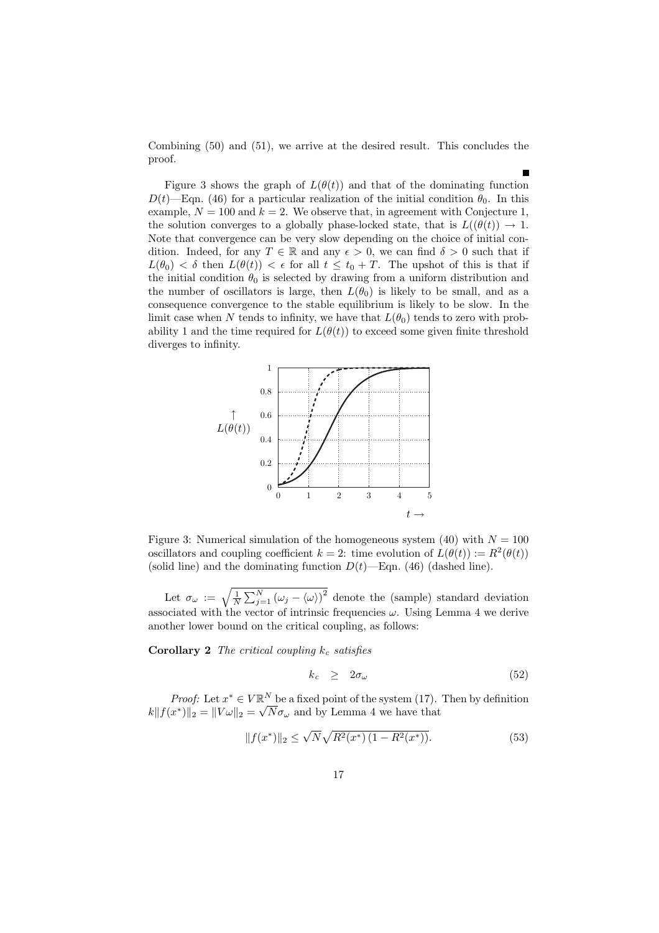Combining (50) and (51), we arrive at the desired result. This concludes the proof.

Figure 3 shows the graph of  $L(\theta(t))$  and that of the dominating function  $D(t)$ —Eqn. (46) for a particular realization of the initial condition  $\theta_0$ . In this example,  $N = 100$  and  $k = 2$ . We observe that, in agreement with Conjecture 1, the solution converges to a globally phase-locked state, that is  $L((\theta(t)) \to 1$ . Note that convergence can be very slow depending on the choice of initial condition. Indeed, for any  $T \in \mathbb{R}$  and any  $\epsilon > 0$ , we can find  $\delta > 0$  such that if  $L(\theta_0) < \delta$  then  $L(\theta(t)) < \epsilon$  for all  $t \leq t_0 + T$ . The upshot of this is that if the initial condition  $\theta_0$  is selected by drawing from a uniform distribution and the number of oscillators is large, then  $L(\theta_0)$  is likely to be small, and as a consequence convergence to the stable equilibrium is likely to be slow. In the limit case when N tends to infinity, we have that  $L(\theta_0)$  tends to zero with probability 1 and the time required for  $L(\theta(t))$  to exceed some given finite threshold diverges to infinity.



Figure 3: Numerical simulation of the homogeneous system (40) with  $N = 100$ oscillators and coupling coefficient  $k = 2$ : time evolution of  $L(\theta(t)) := R^2(\theta(t))$ (solid line) and the dominating function  $D(t)$ —Eqn. (46) (dashed line).

Let  $\sigma_{\omega} := \sqrt{\frac{1}{N} \sum_{j=1}^{N} (\omega_j - \langle \omega \rangle)^2}$  denote the (sample) standard deviation associated with the vector of intrinsic frequencies  $\omega$ . Using Lemma 4 we derive another lower bound on the critical coupling, as follows:

**Corollary 2** The critical coupling  $k_c$  satisfies

$$
k_c \geq 2\sigma_\omega \tag{52}
$$

*Proof:* Let  $x^* \in V \mathbb{R}^N$  be a fixed point of the system (17). Then by definition  $||k||f(x^*)||_2 = ||V\omega||_2 = \sqrt{N}\sigma_\omega$  and by Lemma 4 we have that

$$
||f(x^*)||_2 \le \sqrt{N} \sqrt{R^2(x^*) \left(1 - R^2(x^*)\right)}.
$$
\n(53)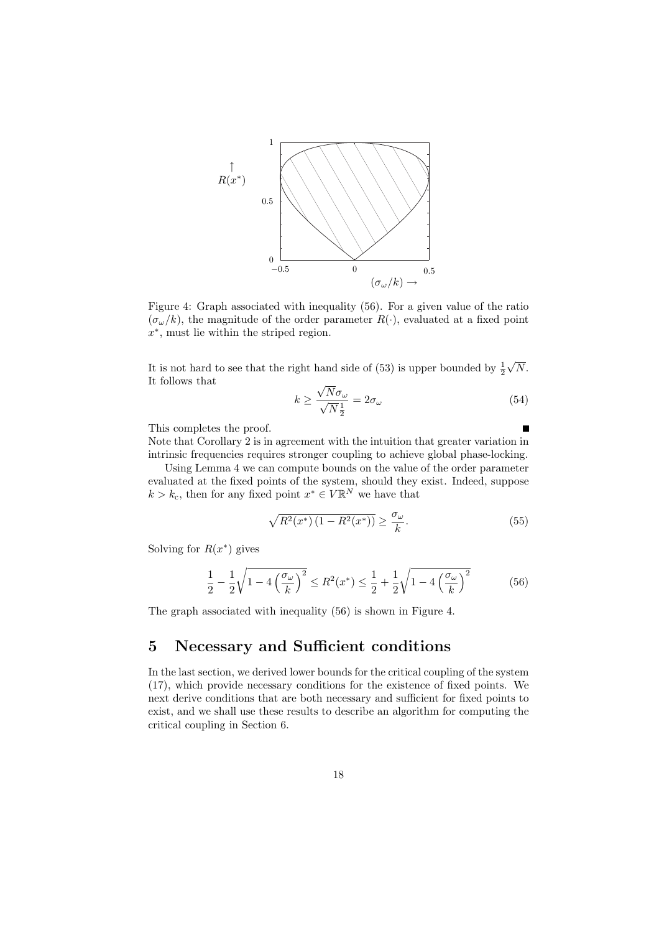

Figure 4: Graph associated with inequality (56). For a given value of the ratio  $(\sigma_{\omega}/k)$ , the magnitude of the order parameter  $R(\cdot)$ , evaluated at a fixed point x ∗ , must lie within the striped region.

It is not hard to see that the right hand side of (53) is upper bounded by  $\frac{1}{2}$  $\sqrt{N}$ . It follows that

$$
k \ge \frac{\sqrt{N}\sigma_{\omega}}{\sqrt{N}\frac{1}{2}} = 2\sigma_{\omega} \tag{54}
$$

This completes the proof.

Note that Corollary 2 is in agreement with the intuition that greater variation in intrinsic frequencies requires stronger coupling to achieve global phase-locking.

Using Lemma 4 we can compute bounds on the value of the order parameter evaluated at the fixed points of the system, should they exist. Indeed, suppose  $k > k_{\rm c}$ , then for any fixed point  $x^* \in V \mathbb{R}^N$  we have that

$$
\sqrt{R^2(x^*)\left(1 - R^2(x^*)\right)} \ge \frac{\sigma_\omega}{k}.\tag{55}
$$

Solving for  $R(x^*)$  gives

$$
\frac{1}{2} - \frac{1}{2}\sqrt{1 - 4\left(\frac{\sigma_{\omega}}{k}\right)^2} \le R^2(x^*) \le \frac{1}{2} + \frac{1}{2}\sqrt{1 - 4\left(\frac{\sigma_{\omega}}{k}\right)^2} \tag{56}
$$

The graph associated with inequality (56) is shown in Figure 4.

## 5 Necessary and Sufficient conditions

In the last section, we derived lower bounds for the critical coupling of the system (17), which provide necessary conditions for the existence of fixed points. We next derive conditions that are both necessary and sufficient for fixed points to exist, and we shall use these results to describe an algorithm for computing the critical coupling in Section 6.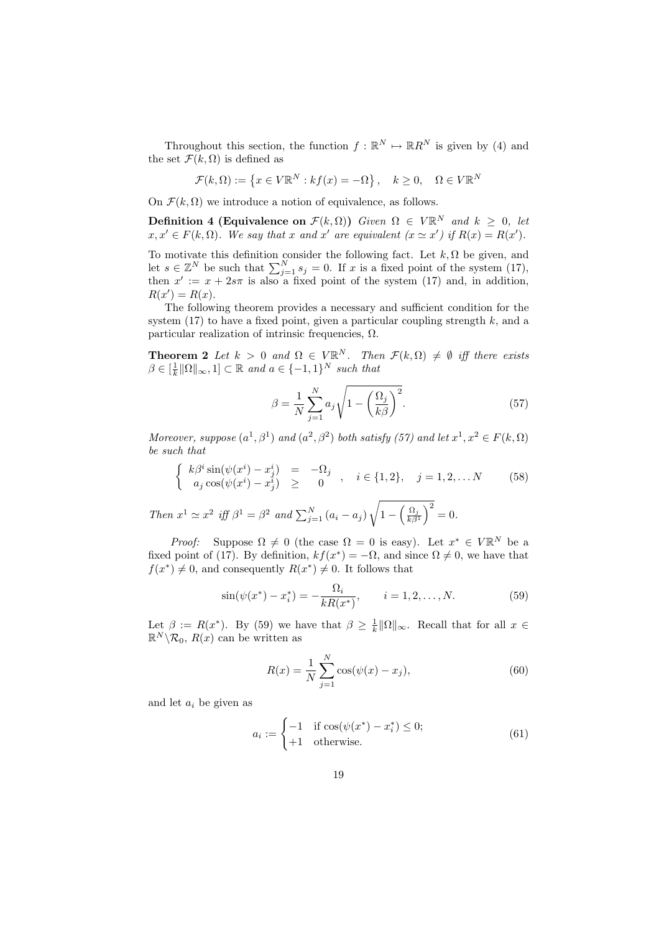Throughout this section, the function  $f : \mathbb{R}^N \to \mathbb{R}R^N$  is given by (4) and the set  $\mathcal{F}(k,\Omega)$  is defined as

$$
\mathcal{F}(k,\Omega) := \{ x \in V\mathbb{R}^N : kf(x) = -\Omega \}, \quad k \ge 0, \quad \Omega \in V\mathbb{R}^N
$$

On  $\mathcal{F}(k, \Omega)$  we introduce a notion of equivalence, as follows.

**Definition 4 (Equivalence on**  $\mathcal{F}(k,\Omega)$ ) Given  $\Omega \in V\mathbb{R}^N$  and  $k \geq 0$ , let  $x, x' \in F(k, \Omega)$ . We say that x and x' are equivalent  $(x \simeq x')$  if  $R(x) = R(x')$ .

To motivate this definition consider the following fact. Let  $k, \Omega$  be given, and let  $s \in \mathbb{Z}^N$  be such that  $\sum_{j=1}^N s_j = 0$ . If x is a fixed point of the system (17), then  $x' := x + 2s\pi$  is also a fixed point of the system (17) and, in addition,  $R(x') = R(x).$ 

The following theorem provides a necessary and sufficient condition for the system  $(17)$  to have a fixed point, given a particular coupling strength k, and a particular realization of intrinsic frequencies, Ω.

**Theorem 2** Let  $k > 0$  and  $\Omega \in V\mathbb{R}^N$ . Then  $\mathcal{F}(k,\Omega) \neq \emptyset$  iff there exists  $\beta \in \left[\frac{1}{k} \|\Omega\|_{\infty}, 1\right] \subset \mathbb{R}$  and  $a \in \{-1, 1\}^N$  such that

$$
\beta = \frac{1}{N} \sum_{j=1}^{N} a_j \sqrt{1 - \left(\frac{\Omega_j}{k\beta}\right)^2}.
$$
\n(57)

Moreover, suppose  $(a^1, \beta^1)$  and  $(a^2, \beta^2)$  both satisfy (57) and let  $x^1, x^2 \in F(k, \Omega)$ be such that

$$
\begin{cases}\nk\beta^i \sin(\psi(x^i) - x^i_j) = -\Omega_j \\
a_j \cos(\psi(x^i) - x^i_j) \geq 0\n\end{cases}, \quad i \in \{1, 2\}, \quad j = 1, 2, \dots N\n\tag{58}
$$

Then  $x^1 \simeq x^2$  iff  $\beta^1 = \beta^2$  and  $\sum_{j=1}^N (a_i - a_j)$ <sup>1</sup>  $1 - \left(\frac{\Omega_j}{k\beta^1}\right)^2 = 0.$ 

*Proof:* Suppose  $\Omega \neq 0$  (the case  $\Omega = 0$  is easy). Let  $x^* \in V \mathbb{R}^N$  be a fixed point of (17). By definition,  $kf(x^*) = -\Omega$ , and since  $\Omega \neq 0$ , we have that  $f(x^*) \neq 0$ , and consequently  $R(x^*) \neq 0$ . It follows that

$$
\sin(\psi(x^*) - x_i^*) = -\frac{\Omega_i}{kR(x^*)}, \qquad i = 1, 2, \dots, N. \tag{59}
$$

Let  $\beta := R(x^*)$ . By (59) we have that  $\beta \geq \frac{1}{k} \|\Omega\|_{\infty}$ . Recall that for all  $x \in \mathbb{R}$ .  $\mathbb{R}^N \backslash \mathcal{R}_0$ ,  $R(x)$  can be written as

$$
R(x) = \frac{1}{N} \sum_{j=1}^{N} \cos(\psi(x) - x_j),
$$
\n(60)

and let  $a_i$  be given as

$$
a_i := \begin{cases} -1 & \text{if } \cos(\psi(x^*) - x_i^*) \le 0; \\ +1 & \text{otherwise.} \end{cases} \tag{61}
$$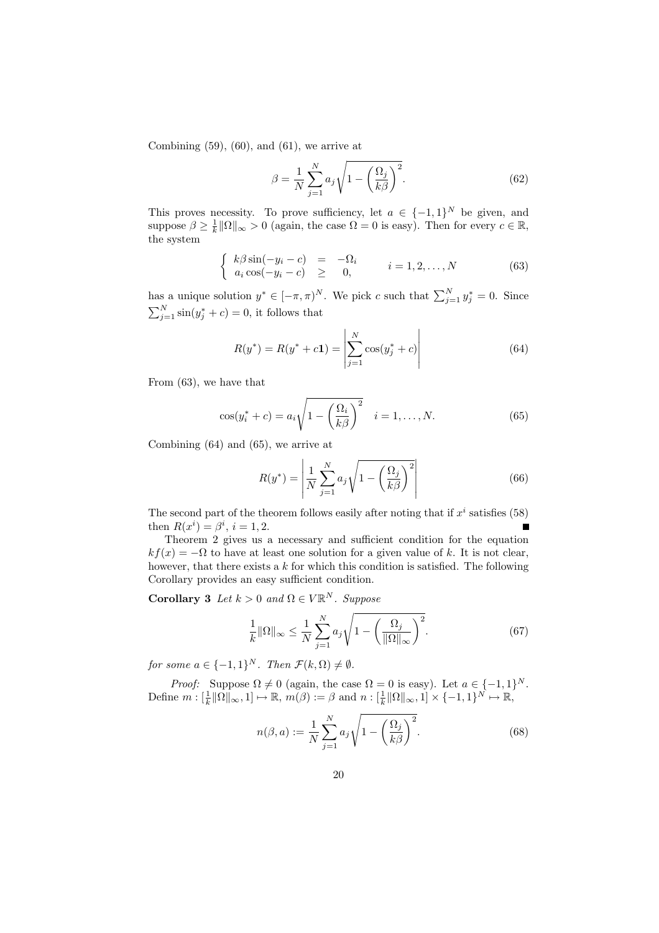Combining  $(59)$ ,  $(60)$ , and  $(61)$ , we arrive at

$$
\beta = \frac{1}{N} \sum_{j=1}^{N} a_j \sqrt{1 - \left(\frac{\Omega_j}{k\beta}\right)^2}.
$$
\n(62)

This proves necessity. To prove sufficiency, let  $a \in \{-1,1\}^N$  be given, and suppose  $\beta \geq \frac{1}{k} \|\Omega\|_{\infty} > 0$  (again, the case  $\Omega = 0$  is easy). Then for every  $c \in \mathbb{R}$ , the system

$$
\begin{cases}\nk\beta\sin(-y_i-c) = -\Omega_i \\
a_i\cos(-y_i-c) \geq 0, \n\end{cases}\n\quad i = 1, 2, \dots, N
$$
\n(63)

has a unique solution  $y^* \in [-\pi, \pi)^N$ . We pick c such that  $\sum_{j=1}^N y_j^* = 0$ . Since  $\sum_{j=1}^{N} \sin(y_j^* + c) = 0$ , it follows that

$$
R(y^*) = R(y^* + c\mathbf{1}) = \left| \sum_{j=1}^{N} \cos(y_j^* + c) \right| \tag{64}
$$

From (63), we have that

$$
\cos(y_i^* + c) = a_i \sqrt{1 - \left(\frac{\Omega_i}{k\beta}\right)^2} \quad i = 1, ..., N. \tag{65}
$$

Combining (64) and (65), we arrive at

$$
R(y^*) = \left| \frac{1}{N} \sum_{j=1}^{N} a_j \sqrt{1 - \left(\frac{\Omega_j}{k\beta}\right)^2} \right| \tag{66}
$$

The second part of the theorem follows easily after noting that if  $x^i$  satisfies (58) then  $R(x^{i}) = \beta^{i}, i = 1, 2.$ Е

Theorem 2 gives us a necessary and sufficient condition for the equation  $kf(x) = -\Omega$  to have at least one solution for a given value of k. It is not clear, however, that there exists a  $k$  for which this condition is satisfied. The following Corollary provides an easy sufficient condition.

**Corollary 3** Let  $k > 0$  and  $\Omega \in V\mathbb{R}^N$ . Suppose

$$
\frac{1}{k} \|\Omega\|_{\infty} \le \frac{1}{N} \sum_{j=1}^{N} a_j \sqrt{1 - \left(\frac{\Omega_j}{\|\Omega\|_{\infty}}\right)^2}.
$$
\n(67)

for some  $a \in \{-1,1\}^N$ . Then  $\mathcal{F}(k,\Omega) \neq \emptyset$ .

*Proof:* Suppose  $\Omega \neq 0$  (again, the case  $\Omega = 0$  is easy). Let  $a \in \{-1,1\}^N$ . Define  $m: [\frac{1}{k} \|\Omega\|_{\infty}, 1] \mapsto \mathbb{R}, m(\beta) := \beta$  and  $n: [\frac{1}{k} \|\Omega\|_{\infty}, 1] \times \{-1, 1\}^N \mapsto \mathbb{R},$ 

$$
n(\beta, a) := \frac{1}{N} \sum_{j=1}^{N} a_j \sqrt{1 - \left(\frac{\Omega_j}{k\beta}\right)^2}.
$$
 (68)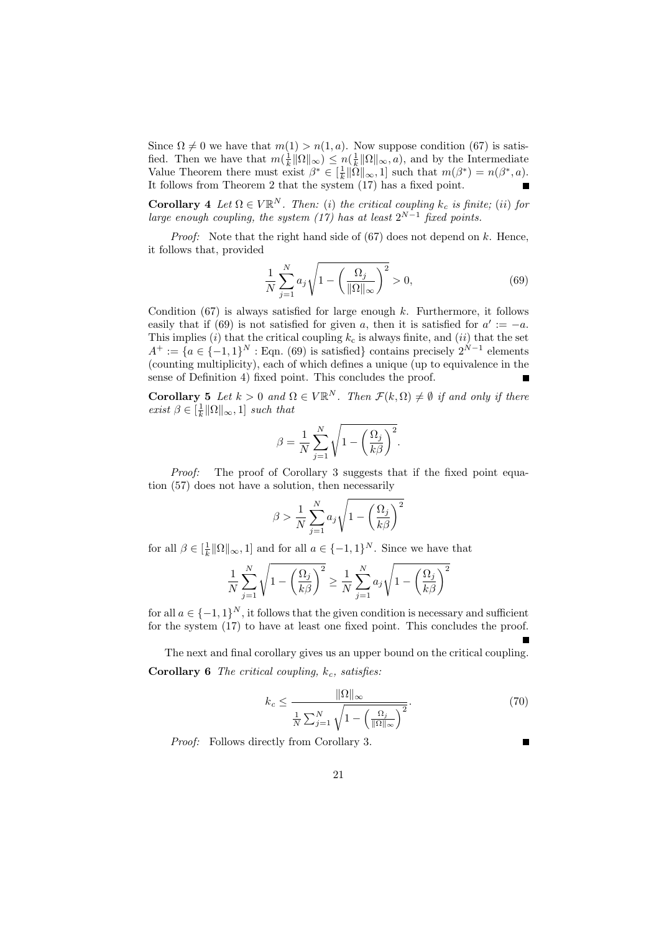Since  $\Omega \neq 0$  we have that  $m(1) > n(1,a)$ . Now suppose condition (67) is satisfied. Then we have that  $m(\frac{1}{k}\|\Omega\|_{\infty}) \leq n(\frac{1}{k}\|\Omega\|_{\infty},a)$ , and by the Intermediate Value Theorem there must exist  $\beta^* \in [\frac{1}{k} \|\tilde{\Omega}\|_{\infty}, 1]$  such that  $m(\beta^*) = n(\beta^*, a)$ . It follows from Theorem 2 that the system (17) has a fixed point.

**Corollary** 4 Let  $\Omega \in V \mathbb{R}^N$ . Then: (i) the critical coupling  $k_c$  is finite; (ii) for large enough coupling, the system  $(17)$  has at least  $2^{N-1}$  fixed points.

*Proof:* Note that the right hand side of  $(67)$  does not depend on k. Hence, it follows that, provided

$$
\frac{1}{N} \sum_{j=1}^{N} a_j \sqrt{1 - \left(\frac{\Omega_j}{\|\Omega\|_{\infty}}\right)^2} > 0,\tag{69}
$$

Condition  $(67)$  is always satisfied for large enough k. Furthermore, it follows easily that if (69) is not satisfied for given a, then it is satisfied for  $a' := -a$ . This implies (i) that the critical coupling  $k_c$  is always finite, and (ii) that the set  $A^+ := \{a \in \{-1,1\}^N : \text{Eqn. (69) is satisfied}\}$  contains precisely  $2^{N-1}$  elements (counting multiplicity), each of which defines a unique (up to equivalence in the sense of Definition 4) fixed point. This concludes the proof.

**Corollary 5** Let  $k > 0$  and  $\Omega \in V\mathbb{R}^N$ . Then  $\mathcal{F}(k,\Omega) \neq \emptyset$  if and only if there exist  $\beta \in [\frac{1}{k} \|\Omega\|_{\infty}, 1]$  such that

$$
\beta = \frac{1}{N} \sum_{j=1}^{N} \sqrt{1 - \left(\frac{\Omega_j}{k\beta}\right)^2}.
$$

Proof: The proof of Corollary 3 suggests that if the fixed point equation (57) does not have a solution, then necessarily

$$
\beta > \frac{1}{N} \sum_{j=1}^{N} a_j \sqrt{1 - \left(\frac{\Omega_j}{k\beta}\right)^2}
$$

for all  $\beta \in [\frac{1}{k} \|\Omega\|_{\infty}, 1]$  and for all  $a \in \{-1, 1\}^N$ . Since we have that

$$
\frac{1}{N} \sum_{j=1}^{N} \sqrt{1 - \left(\frac{\Omega_j}{k\beta}\right)^2} \ge \frac{1}{N} \sum_{j=1}^{N} a_j \sqrt{1 - \left(\frac{\Omega_j}{k\beta}\right)^2}
$$

for all  $a \in \{-1, 1\}^N$ , it follows that the given condition is necessary and sufficient for the system (17) to have at least one fixed point. This concludes the proof.

The next and final corollary gives us an upper bound on the critical coupling. Corollary 6 The critical coupling,  $k_c$ , satisfies:

$$
k_c \le \frac{\|\Omega\|_{\infty}}{\frac{1}{N} \sum_{j=1}^{N} \sqrt{1 - \left(\frac{\Omega_j}{\|\Omega\|_{\infty}}\right)^2}}.
$$
\n(70)

Proof: Follows directly from Corollary 3.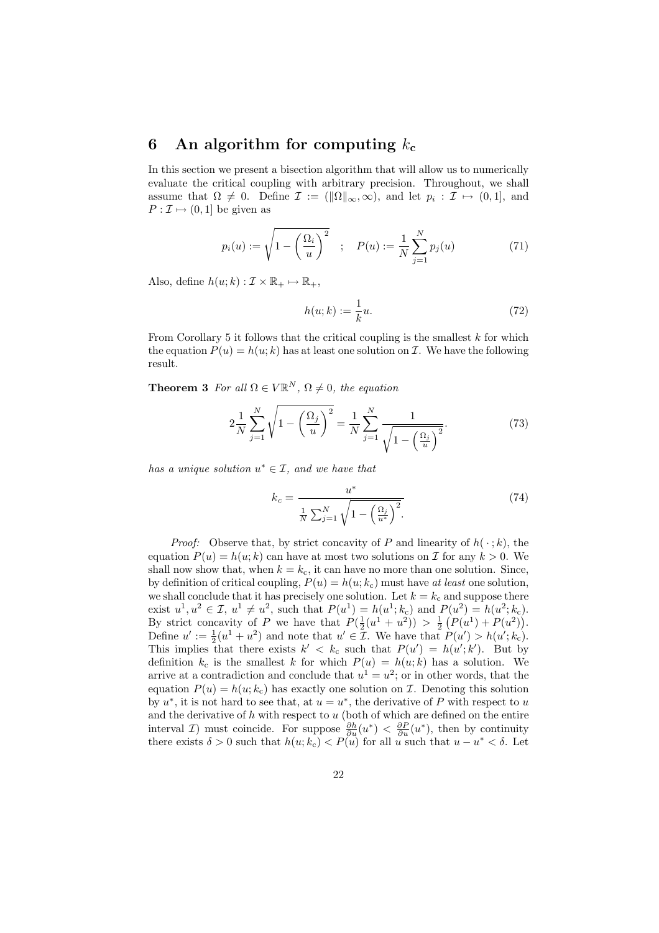## 6 An algorithm for computing  $k_c$

In this section we present a bisection algorithm that will allow us to numerically evaluate the critical coupling with arbitrary precision. Throughout, we shall assume that  $\Omega \neq 0$ . Define  $\mathcal{I} := (\|\Omega\|_{\infty}, \infty)$ , and let  $p_i : \mathcal{I} \mapsto (0, 1]$ , and  $P: \mathcal{I} \mapsto (0,1]$  be given as

$$
p_i(u) := \sqrt{1 - \left(\frac{\Omega_i}{u}\right)^2} \quad ; \quad P(u) := \frac{1}{N} \sum_{j=1}^N p_j(u) \tag{71}
$$

Also, define  $h(u; k) : \mathcal{I} \times \mathbb{R}_+ \mapsto \mathbb{R}_+,$ 

$$
h(u;k) := \frac{1}{k}u.\tag{72}
$$

From Corollary 5 it follows that the critical coupling is the smallest  $k$  for which the equation  $P(u) = h(u; k)$  has at least one solution on  $\mathcal I$ . We have the following result.

**Theorem 3** For all  $\Omega \in V\mathbb{R}^N$ ,  $\Omega \neq 0$ , the equation

$$
2\frac{1}{N}\sum_{j=1}^{N}\sqrt{1-\left(\frac{\Omega_{j}}{u}\right)^{2}}=\frac{1}{N}\sum_{j=1}^{N}\frac{1}{\sqrt{1-\left(\frac{\Omega_{j}}{u}\right)^{2}}}.
$$
 (73)

has a unique solution  $u^* \in \mathcal{I}$ , and we have that

$$
k_c = \frac{u^*}{\frac{1}{N} \sum_{j=1}^{N} \sqrt{1 - \left(\frac{\Omega_j}{u^*}\right)^2}}.
$$
\n(74)

*Proof:* Observe that, by strict concavity of P and linearity of  $h(\cdot; k)$ , the equation  $P(u) = h(u; k)$  can have at most two solutions on T for any  $k > 0$ . We shall now show that, when  $k = k_c$ , it can have no more than one solution. Since, by definition of critical coupling,  $P(u) = h(u; k_c)$  must have at least one solution, we shall conclude that it has precisely one solution. Let  $k = k_c$  and suppose there exist  $u^1, u^2 \in \mathcal{I}, u^1 \neq u^2$ , such that  $P(u^1) = h(u^1; k_c)$  and  $P(u^2) = h(u^2; k_c)$ . By strict concavity of P we have that  $P(\frac{1}{2}(u^1 + u^2)) > \frac{1}{2}(P(u^1) + P(u^2)).$ Define  $u' := \frac{1}{2}(u^1 + u^2)$  and note that  $u' \in \mathcal{I}$ . We have that  $P(u') > h(u'; k_c)$ . This implies that there exists  $k' < k_c$  such that  $P(u') = h(u'; k')$ . But by definition  $k_c$  is the smallest k for which  $P(u) = h(u; k)$  has a solution. We arrive at a contradiction and conclude that  $u^1 = u^2$ ; or in other words, that the equation  $P(u) = h(u; k_c)$  has exactly one solution on  $\mathcal{I}$ . Denoting this solution by  $u^*$ , it is not hard to see that, at  $u = u^*$ , the derivative of P with respect to u and the derivative of  $h$  with respect to  $u$  (both of which are defined on the entire interval *I*) must coincide. For suppose  $\frac{\partial h}{\partial u}(u^*) < \frac{\partial P}{\partial u}(u^*)$ , then by continuity there exists  $\delta > 0$  such that  $h(u; k_c) < P(u)$  for all u such that  $u - u^* < \delta$ . Let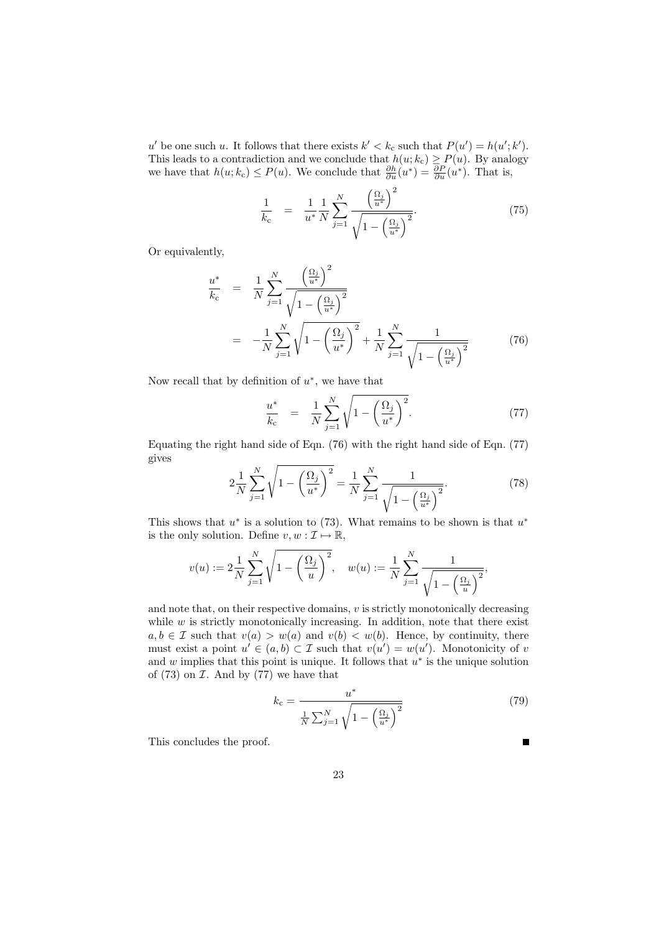u' be one such u. It follows that there exists  $k' < k_c$  such that  $P(u') = h(u'; k')$ . This leads to a contradiction and we conclude that  $h(u; k_c) \ge P(u)$ . By analogy we have that  $h(u; k_c) \le P(u)$ . We conclude that  $\frac{\partial h}{\partial u}(u^*) = \frac{\partial P}{\partial u}(u^*)$ . That is,

$$
\frac{1}{k_{\rm c}} = \frac{1}{u^*} \frac{1}{N} \sum_{j=1}^{N} \frac{\left(\frac{\Omega_j}{u^*}\right)^2}{\sqrt{1 - \left(\frac{\Omega_j}{u^*}\right)^2}}.
$$
\n(75)

Or equivalently,

$$
\frac{u^*}{k_c} = \frac{1}{N} \sum_{j=1}^{N} \frac{\left(\frac{\Omega_j}{u^*}\right)^2}{\sqrt{1 - \left(\frac{\Omega_j}{u^*}\right)^2}}
$$
\n
$$
= -\frac{1}{N} \sum_{j=1}^{N} \sqrt{1 - \left(\frac{\Omega_j}{u^*}\right)^2} + \frac{1}{N} \sum_{j=1}^{N} \frac{1}{\sqrt{1 - \left(\frac{\Omega_j}{u^*}\right)^2}}
$$
(76)

Now recall that by definition of  $u^*$ , we have that

$$
\frac{u^*}{k_c} = \frac{1}{N} \sum_{j=1}^{N} \sqrt{1 - \left(\frac{\Omega_j}{u^*}\right)^2}.
$$
 (77)

Equating the right hand side of Eqn. (76) with the right hand side of Eqn. (77) gives

$$
2\frac{1}{N}\sum_{j=1}^{N}\sqrt{1-\left(\frac{\Omega_{j}}{u^{*}}\right)^{2}}=\frac{1}{N}\sum_{j=1}^{N}\frac{1}{\sqrt{1-\left(\frac{\Omega_{j}}{u^{*}}\right)^{2}}}.
$$
\n(78)

This shows that  $u^*$  is a solution to (73). What remains to be shown is that  $u^*$ is the only solution. Define  $v, w : \mathcal{I} \mapsto \mathbb{R}$ ,

$$
v(u) := 2\frac{1}{N} \sum_{j=1}^{N} \sqrt{1 - \left(\frac{\Omega_j}{u}\right)^2}, \quad w(u) := \frac{1}{N} \sum_{j=1}^{N} \frac{1}{\sqrt{1 - \left(\frac{\Omega_j}{u}\right)^2}},
$$

and note that, on their respective domains, v is strictly monotonically decreasing while  $w$  is strictly monotonically increasing. In addition, note that there exist  $a, b \in \mathcal{I}$  such that  $v(a) > w(a)$  and  $v(b) < w(b)$ . Hence, by continuity, there must exist a point  $u' \in (a, b) \subset \mathcal{I}$  such that  $v(u') = w(u')$ . Monotonicity of v and  $w$  implies that this point is unique. It follows that  $u^*$  is the unique solution of  $(73)$  on  $I$ . And by  $(77)$  we have that

$$
k_{\rm c} = \frac{u^*}{\frac{1}{N} \sum_{j=1}^{N} \sqrt{1 - \left(\frac{\Omega_j}{u^*}\right)^2}}
$$
(79)

н

This concludes the proof.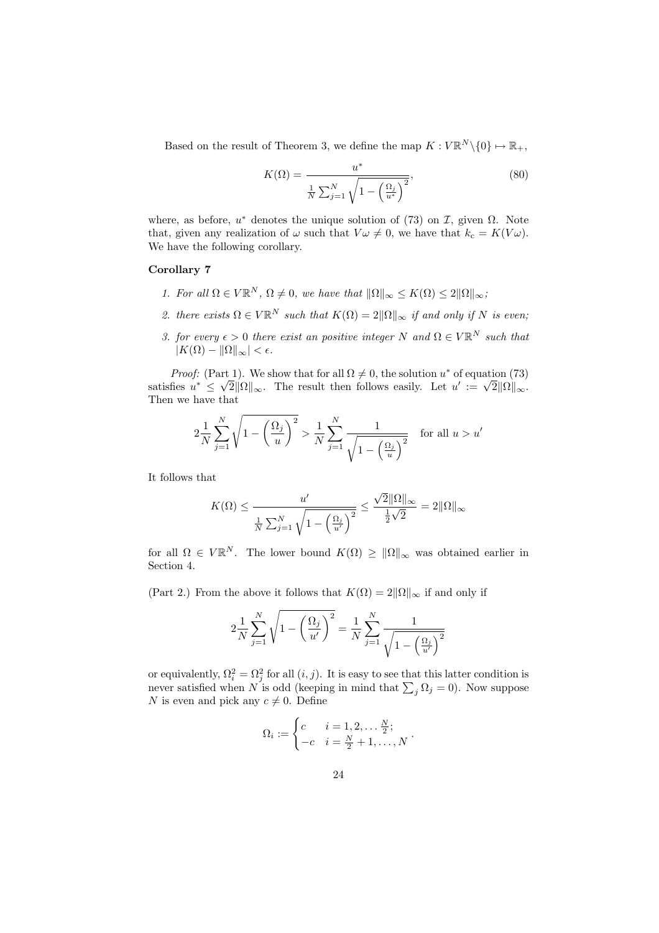Based on the result of Theorem 3, we define the map  $K: V \mathbb{R}^N \setminus \{0\} \mapsto \mathbb{R}_+,$ 

$$
K(\Omega) = \frac{u^*}{\frac{1}{N} \sum_{j=1}^{N} \sqrt{1 - \left(\frac{\Omega_j}{u^*}\right)^2}},
$$
\n(80)

where, as before,  $u^*$  denotes the unique solution of (73) on  $\mathcal{I}$ , given  $\Omega$ . Note that, given any realization of  $\omega$  such that  $V\omega \neq 0$ , we have that  $k_c = K(V\omega)$ . We have the following corollary.

#### Corollary 7

- 1. For all  $\Omega \in V\mathbb{R}^N$ ,  $\Omega \neq 0$ , we have that  $\|\Omega\|_{\infty} \leq K(\Omega) \leq 2\|\Omega\|_{\infty}$ ;
- 2. there exists  $\Omega \in V\mathbb{R}^N$  such that  $K(\Omega) = 2\|\Omega\|_{\infty}$  if and only if N is even;
- 3. for every  $\epsilon > 0$  there exist an positive integer N and  $\Omega \in V\mathbb{R}^N$  such that  $|K(\Omega) - \|\Omega\|_{\infty} < \epsilon.$

*Proof:* (Part 1). We show that for all  $\Omega \neq 0$ , the solution  $u^*$  of equation (73) satisfies  $u^* \leq \sqrt{2} ||\Omega||_{\infty}$ . The result then follows easily. Let  $u' := \sqrt{2} ||\Omega||_{\infty}$ . Then we have that

$$
2\frac{1}{N}\sum_{j=1}^{N}\sqrt{1-\left(\frac{\Omega_j}{u}\right)^2} > \frac{1}{N}\sum_{j=1}^{N}\frac{1}{\sqrt{1-\left(\frac{\Omega_j}{u}\right)^2}} \quad \text{for all } u > u'
$$

It follows that

$$
K(\Omega) \le \frac{u'}{\frac{1}{N} \sum_{j=1}^{N} \sqrt{1 - \left(\frac{\Omega_j}{u'}\right)^2}} \le \frac{\sqrt{2} \|\Omega\|_{\infty}}{\frac{1}{2} \sqrt{2}} = 2 \|\Omega\|_{\infty}
$$

for all  $\Omega \in V \mathbb{R}^N$ . The lower bound  $K(\Omega) \geq ||\Omega||_{\infty}$  was obtained earlier in Section 4.

(Part 2.) From the above it follows that  $K(\Omega) = 2\|\Omega\|_{\infty}$  if and only if

$$
2\frac{1}{N}\sum_{j=1}^{N}\sqrt{1-\left(\frac{\Omega_{j}}{u'}\right)^{2}} = \frac{1}{N}\sum_{j=1}^{N}\frac{1}{\sqrt{1-\left(\frac{\Omega_{j}}{u'}\right)^{2}}}
$$

or equivalently,  $\Omega_i^2 = \Omega_j^2$  for all  $(i, j)$ . It is easy to see that this latter condition is never satisfied when N is odd (keeping in mind that  $\sum_j \Omega_j = 0$ ). Now suppose N is even and pick any  $c \neq 0$ . Define

$$
\Omega_i := \begin{cases} c & i = 1, 2, \dots \frac{N}{2}; \\ -c & i = \frac{N}{2} + 1, \dots, N \end{cases}.
$$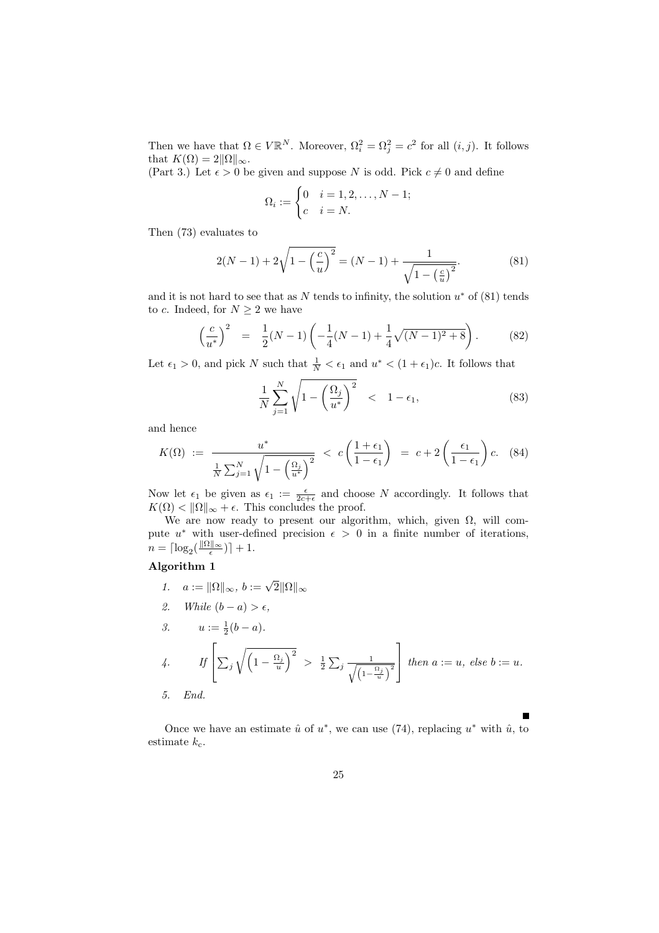Then we have that  $\Omega \in V \mathbb{R}^N$ . Moreover,  $\Omega_i^2 = \Omega_j^2 = c^2$  for all  $(i, j)$ . It follows that  $K(\Omega) = 2||\Omega||_{\infty}$ .

(Part 3.) Let  $\epsilon > 0$  be given and suppose N is odd. Pick  $c \neq 0$  and define

$$
\Omega_i := \begin{cases} 0 & i = 1, 2, \dots, N - 1; \\ c & i = N. \end{cases}
$$

Then (73) evaluates to

$$
2(N-1) + 2\sqrt{1 - \left(\frac{c}{u}\right)^2} = (N-1) + \frac{1}{\sqrt{1 - \left(\frac{c}{u}\right)^2}}.\tag{81}
$$

and it is not hard to see that as N tends to infinity, the solution  $u^*$  of (81) tends to c. Indeed, for  $N \geq 2$  we have

$$
\left(\frac{c}{u^*}\right)^2 = \frac{1}{2}(N-1)\left(-\frac{1}{4}(N-1) + \frac{1}{4}\sqrt{(N-1)^2 + 8}\right). \tag{82}
$$

Let  $\epsilon_1 > 0$ , and pick N such that  $\frac{1}{N} < \epsilon_1$  and  $u^* < (1 + \epsilon_1)c$ . It follows that

$$
\frac{1}{N} \sum_{j=1}^{N} \sqrt{1 - \left(\frac{\Omega_j}{u^*}\right)^2} < 1 - \epsilon_1,\tag{83}
$$

and hence

$$
K(\Omega) := \frac{u^*}{\frac{1}{N} \sum_{j=1}^N \sqrt{1 - \left(\frac{\Omega_j}{u^*}\right)^2}} < c \left(\frac{1 + \epsilon_1}{1 - \epsilon_1}\right) = c + 2 \left(\frac{\epsilon_1}{1 - \epsilon_1}\right) c. \tag{84}
$$

Now let  $\epsilon_1$  be given as  $\epsilon_1 := \frac{\epsilon}{2c+\epsilon}$  and choose N accordingly. It follows that  $K(\Omega) < \|\Omega\|_{\infty} + \epsilon$ . This concludes the proof.

We are now ready to present our algorithm, which, given  $\Omega$ , will compute  $u^*$  with user-defined precision  $\epsilon > 0$  in a finite number of iterations,  $n = \lceil \log_2(\frac{\lVert \Omega \rVert_\infty}{\epsilon}) \rceil + 1.$ 

### Algorithm 1

1. 
$$
a := ||\Omega||_{\infty}, b := \sqrt{2} ||\Omega||_{\infty}
$$
  
\n2. While  $(b - a) > \epsilon$ ,  
\n3.  $u := \frac{1}{2}(b - a)$ .  
\n4. If  $\left[ \sum_{j} \sqrt{\left(1 - \frac{\Omega_{j}}{u}\right)^{2}} \right] > \frac{1}{2} \sum_{j} \frac{1}{\sqrt{\left(1 - \frac{\Omega_{j}}{u}\right)^{2}}}\right]$  then  $a := u$ , else  $b := u$ .  
\n5. End.

Once we have an estimate  $\hat{u}$  of  $u^*$ , we can use (74), replacing  $u^*$  with  $\hat{u}$ , to estimate  $k_c$ .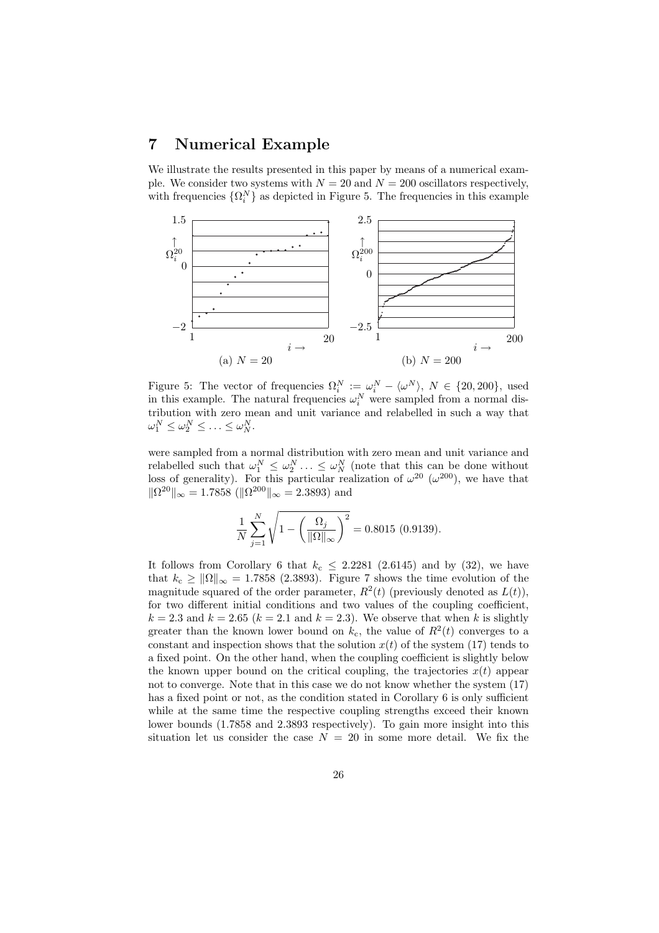## 7 Numerical Example

We illustrate the results presented in this paper by means of a numerical example. We consider two systems with  $N = 20$  and  $N = 200$  oscillators respectively, with frequencies  $\{\Omega_i^N\}$  as depicted in Figure 5. The frequencies in this example



Figure 5: The vector of frequencies  $\Omega_i^N := \omega_i^N - \langle \omega^N \rangle$ ,  $N \in \{20, 200\}$ , used in this example. The natural frequencies  $\omega_i^N$  were sampled from a normal distribution with zero mean and unit variance and relabelled in such a way that  $\omega_1^N \leq \omega_2^N \leq \ldots \leq \omega_N^N$ .

were sampled from a normal distribution with zero mean and unit variance and relabelled such that  $\omega_1^N \leq \omega_2^N \ldots \leq \omega_N^N$  (note that this can be done without loss of generality). For this particular realization of  $\omega^{20}$  ( $\omega^{200}$ ), we have that  $\|\Omega^{20}\|_{\infty} = 1.7858 \ (\|\Omega^{200}\|_{\infty} = 2.3893)$  and

$$
\frac{1}{N} \sum_{j=1}^{N} \sqrt{1 - \left(\frac{\Omega_j}{\|\Omega\|_{\infty}}\right)^2} = 0.8015 (0.9139).
$$

It follows from Corollary 6 that  $k_c \leq 2.2281$  (2.6145) and by (32), we have that  $k_c \ge ||\Omega||_{\infty} = 1.7858$  (2.3893). Figure 7 shows the time evolution of the magnitude squared of the order parameter,  $R^2(t)$  (previously denoted as  $L(t)$ ), for two different initial conditions and two values of the coupling coefficient,  $k = 2.3$  and  $k = 2.65$  ( $k = 2.1$  and  $k = 2.3$ ). We observe that when k is slightly greater than the known lower bound on  $k_c$ , the value of  $R^2(t)$  converges to a constant and inspection shows that the solution  $x(t)$  of the system (17) tends to a fixed point. On the other hand, when the coupling coefficient is slightly below the known upper bound on the critical coupling, the trajectories  $x(t)$  appear not to converge. Note that in this case we do not know whether the system (17) has a fixed point or not, as the condition stated in Corollary 6 is only sufficient while at the same time the respective coupling strengths exceed their known lower bounds (1.7858 and 2.3893 respectively). To gain more insight into this situation let us consider the case  $N = 20$  in some more detail. We fix the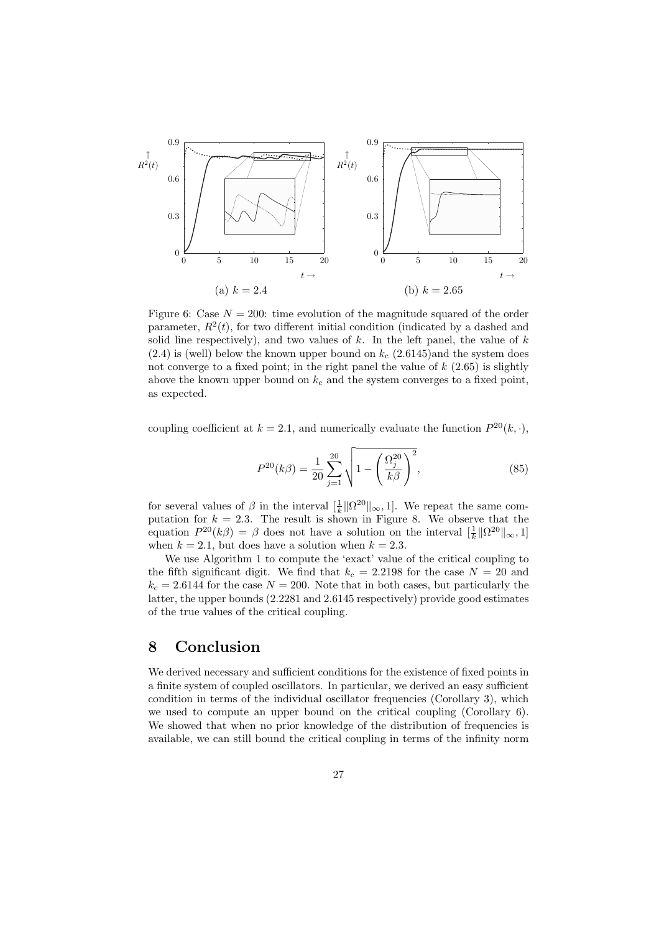

Figure 6: Case  $N = 200$ : time evolution of the magnitude squared of the order parameter,  $R^2(t)$ , for two different initial condition (indicated by a dashed and solid line respectively), and two values of  $k$ . In the left panel, the value of  $k$  $(2.4)$  is (well) below the known upper bound on  $k_c$  (2.6145)and the system does not converge to a fixed point; in the right panel the value of  $k$   $(2.65)$  is slightly above the known upper bound on  $k_c$  and the system converges to a fixed point, as expected.

coupling coefficient at  $k = 2.1$ , and numerically evaluate the function  $P^{20}(k, \cdot)$ ,

$$
P^{20}(k\beta) = \frac{1}{20} \sum_{j=1}^{20} \sqrt{1 - \left(\frac{\Omega_j^{20}}{k\beta}\right)^2},
$$
\n(85)

for several values of  $\beta$  in the interval  $\left[\frac{1}{k}\right] \left|\Omega^{20}\right| \right| \infty$ , 1. We repeat the same computation for  $k = 2.3$ . The result is shown in Figure 8. We observe that the equation  $P^{20}(k\beta) = \beta$  does not have a solution on the interval  $\left[\frac{1}{k}\|\Omega^{20}\|_{\infty}, 1\right]$ when  $k = 2.1$ , but does have a solution when  $k = 2.3$ .

We use Algorithm 1 to compute the 'exact' value of the critical coupling to the fifth significant digit. We find that  $k_c = 2.2198$  for the case  $N = 20$  and  $k_c = 2.6144$  for the case  $N = 200$ . Note that in both cases, but particularly the latter, the upper bounds (2.2281 and 2.6145 respectively) provide good estimates of the true values of the critical coupling.

# 8 Conclusion

We derived necessary and sufficient conditions for the existence of fixed points in a finite system of coupled oscillators. In particular, we derived an easy sufficient condition in terms of the individual oscillator frequencies (Corollary 3), which we used to compute an upper bound on the critical coupling (Corollary 6). We showed that when no prior knowledge of the distribution of frequencies is available, we can still bound the critical coupling in terms of the infinity norm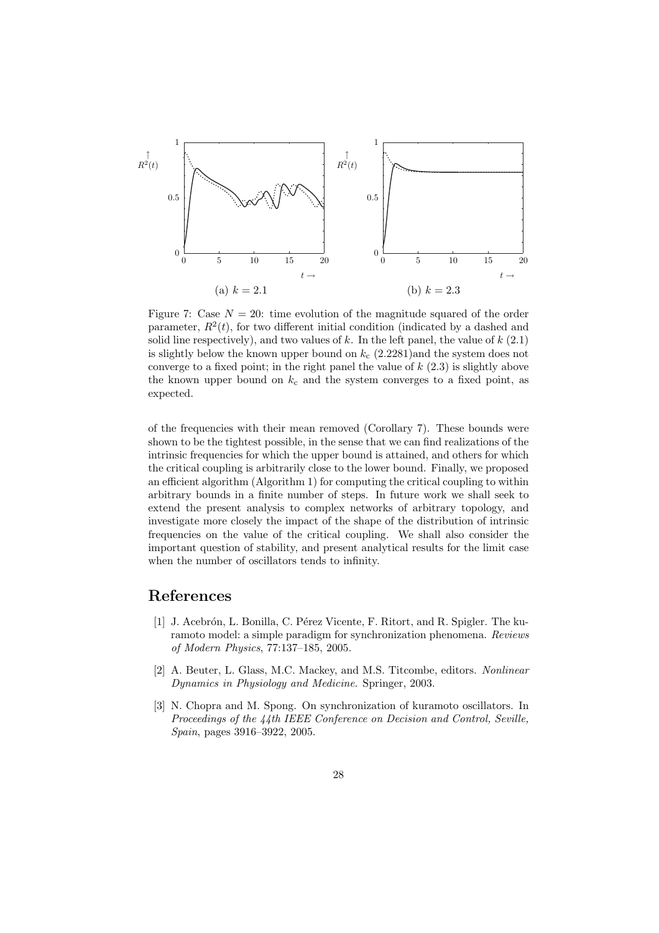

Figure 7: Case  $N = 20$ : time evolution of the magnitude squared of the order parameter,  $R^2(t)$ , for two different initial condition (indicated by a dashed and solid line respectively), and two values of  $k$ . In the left panel, the value of  $k$  (2.1) is slightly below the known upper bound on  $k_c$  (2.2281)and the system does not converge to a fixed point; in the right panel the value of  $k$  (2.3) is slightly above the known upper bound on  $k_c$  and the system converges to a fixed point, as expected.

of the frequencies with their mean removed (Corollary 7). These bounds were shown to be the tightest possible, in the sense that we can find realizations of the intrinsic frequencies for which the upper bound is attained, and others for which the critical coupling is arbitrarily close to the lower bound. Finally, we proposed an efficient algorithm (Algorithm 1) for computing the critical coupling to within arbitrary bounds in a finite number of steps. In future work we shall seek to extend the present analysis to complex networks of arbitrary topology, and investigate more closely the impact of the shape of the distribution of intrinsic frequencies on the value of the critical coupling. We shall also consider the important question of stability, and present analytical results for the limit case when the number of oscillators tends to infinity.

# References

- [1] J. Acebrón, L. Bonilla, C. Pérez Vicente, F. Ritort, and R. Spigler. The kuramoto model: a simple paradigm for synchronization phenomena. Reviews of Modern Physics, 77:137–185, 2005.
- [2] A. Beuter, L. Glass, M.C. Mackey, and M.S. Titcombe, editors. Nonlinear Dynamics in Physiology and Medicine. Springer, 2003.
- [3] N. Chopra and M. Spong. On synchronization of kuramoto oscillators. In Proceedings of the 44th IEEE Conference on Decision and Control, Seville, Spain, pages 3916–3922, 2005.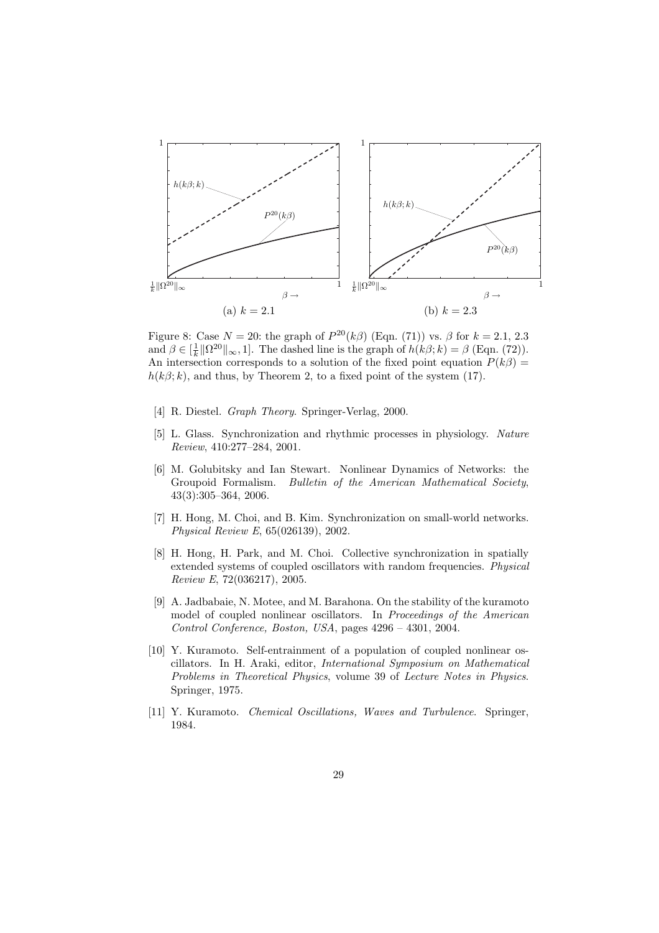

Figure 8: Case  $N = 20$ : the graph of  $P^{20}(k\beta)$  (Eqn. (71)) vs.  $\beta$  for  $k = 2.1, 2.3$ and  $\beta \in [\frac{1}{k} \|\Omega^{20}\|_{\infty}, 1]$ . The dashed line is the graph of  $h(k\beta; k) = \beta$  (Eqn. (72)). An intersection corresponds to a solution of the fixed point equation  $P(k\beta)$  =  $h(k\beta; k)$ , and thus, by Theorem 2, to a fixed point of the system (17).

- [4] R. Diestel. Graph Theory. Springer-Verlag, 2000.
- [5] L. Glass. Synchronization and rhythmic processes in physiology. Nature Review, 410:277–284, 2001.
- [6] M. Golubitsky and Ian Stewart. Nonlinear Dynamics of Networks: the Groupoid Formalism. Bulletin of the American Mathematical Society, 43(3):305–364, 2006.
- [7] H. Hong, M. Choi, and B. Kim. Synchronization on small-world networks. Physical Review E, 65(026139), 2002.
- [8] H. Hong, H. Park, and M. Choi. Collective synchronization in spatially extended systems of coupled oscillators with random frequencies. Physical Review E, 72(036217), 2005.
- [9] A. Jadbabaie, N. Motee, and M. Barahona. On the stability of the kuramoto model of coupled nonlinear oscillators. In *Proceedings of the American* Control Conference, Boston, USA, pages 4296 – 4301, 2004.
- [10] Y. Kuramoto. Self-entrainment of a population of coupled nonlinear oscillators. In H. Araki, editor, International Symposium on Mathematical Problems in Theoretical Physics, volume 39 of Lecture Notes in Physics. Springer, 1975.
- [11] Y. Kuramoto. Chemical Oscillations, Waves and Turbulence. Springer, 1984.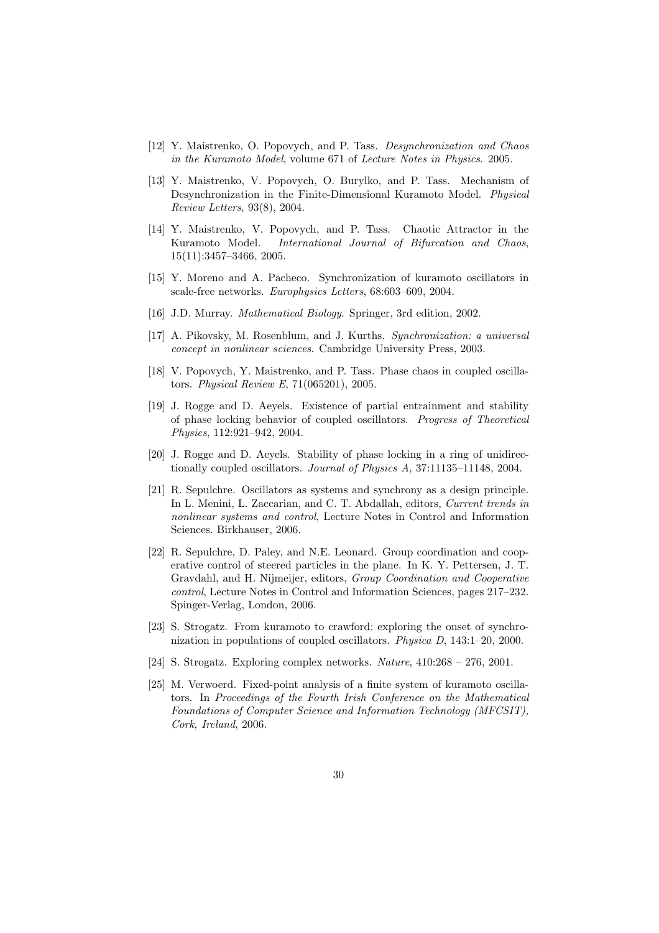- [12] Y. Maistrenko, O. Popovych, and P. Tass. Desynchronization and Chaos in the Kuramoto Model, volume 671 of Lecture Notes in Physics. 2005.
- [13] Y. Maistrenko, V. Popovych, O. Burylko, and P. Tass. Mechanism of Desynchronization in the Finite-Dimensional Kuramoto Model. Physical Review Letters, 93(8), 2004.
- [14] Y. Maistrenko, V. Popovych, and P. Tass. Chaotic Attractor in the Kuramoto Model. International Journal of Bifurcation and Chaos, 15(11):3457–3466, 2005.
- [15] Y. Moreno and A. Pacheco. Synchronization of kuramoto oscillators in scale-free networks. Europhysics Letters, 68:603–609, 2004.
- [16] J.D. Murray. Mathematical Biology. Springer, 3rd edition, 2002.
- [17] A. Pikovsky, M. Rosenblum, and J. Kurths. Synchronization: a universal concept in nonlinear sciences. Cambridge University Press, 2003.
- [18] V. Popovych, Y. Maistrenko, and P. Tass. Phase chaos in coupled oscillators. Physical Review E, 71(065201), 2005.
- [19] J. Rogge and D. Aeyels. Existence of partial entrainment and stability of phase locking behavior of coupled oscillators. Progress of Theoretical Physics, 112:921–942, 2004.
- [20] J. Rogge and D. Aeyels. Stability of phase locking in a ring of unidirectionally coupled oscillators. Journal of Physics A, 37:11135–11148, 2004.
- [21] R. Sepulchre. Oscillators as systems and synchrony as a design principle. In L. Menini, L. Zaccarian, and C. T. Abdallah, editors, Current trends in nonlinear systems and control, Lecture Notes in Control and Information Sciences. Birkhauser, 2006.
- [22] R. Sepulchre, D. Paley, and N.E. Leonard. Group coordination and cooperative control of steered particles in the plane. In K. Y. Pettersen, J. T. Gravdahl, and H. Nijmeijer, editors, Group Coordination and Cooperative control, Lecture Notes in Control and Information Sciences, pages 217–232. Spinger-Verlag, London, 2006.
- [23] S. Strogatz. From kuramoto to crawford: exploring the onset of synchronization in populations of coupled oscillators. Physica D, 143:1–20, 2000.
- [24] S. Strogatz. Exploring complex networks. Nature, 410:268 276, 2001.
- [25] M. Verwoerd. Fixed-point analysis of a finite system of kuramoto oscillators. In Proceedings of the Fourth Irish Conference on the Mathematical Foundations of Computer Science and Information Technology (MFCSIT), Cork, Ireland, 2006.